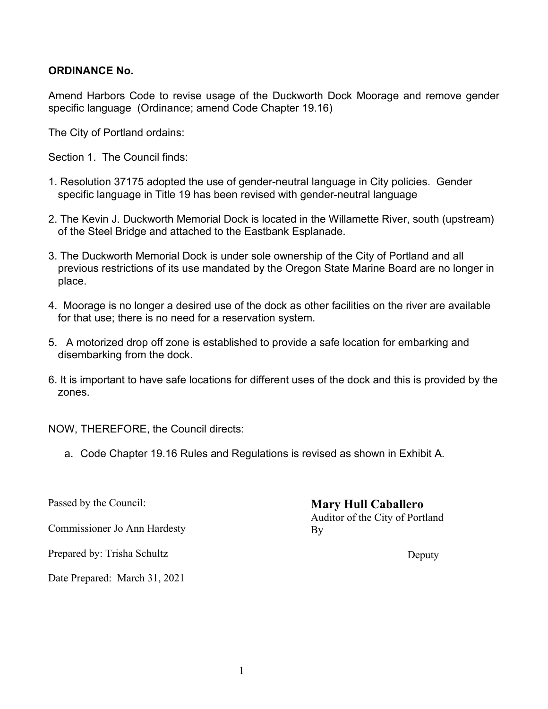# **ORDINANCE No.**

Amend Harbors Code to revise usage of the Duckworth Dock Moorage and remove gender specific language (Ordinance; amend Code Chapter 19.16)

The City of Portland ordains:

Section 1. The Council finds:

- 1. Resolution 37175 adopted the use of gender-neutral language in City policies. Gender specific language in Title 19 has been revised with gender-neutral language
- 2. The Kevin J. Duckworth Memorial Dock is located in the Willamette River, south (upstream) of the Steel Bridge and attached to the Eastbank Esplanade.
- 3. The Duckworth Memorial Dock is under sole ownership of the City of Portland and all previous restrictions of its use mandated by the Oregon State Marine Board are no longer in place.
- 4. Moorage is no longer a desired use of the dock as other facilities on the river are available for that use; there is no need for a reservation system.
- 5. A motorized drop off zone is established to provide a safe location for embarking and disembarking from the dock.
- 6. It is important to have safe locations for different uses of the dock and this is provided by the zones.

NOW, THEREFORE, the Council directs:

a. Code Chapter 19.16 Rules and Regulations is revised as shown in Exhibit A.

Commissioner Jo Ann Hardesty

Prepared by: Trisha Schultz

Date Prepared: March 31, 2021

Passed by the Council: **Mary Hull Caballero** Auditor of the City of Portland By

Deputy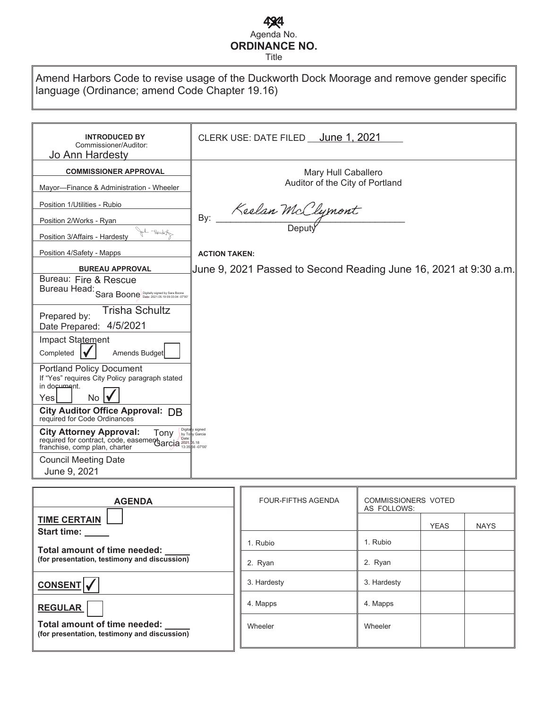#### **4344** Agenda No. **ORDINANCE NO.** Title

Amend Harbors Code to revise usage of the Duckworth Dock Moorage and remove gender specific language (Ordinance; amend Code Chapter 19.16)

| <b>INTRODUCED BY</b><br>Commissioner/Auditor:<br>Jo Ann Hardesty                                                                              | CLERK USE: DATE FILED June 1, 2021                               |  |
|-----------------------------------------------------------------------------------------------------------------------------------------------|------------------------------------------------------------------|--|
| <b>COMMISSIONER APPROVAL</b>                                                                                                                  | Mary Hull Caballero                                              |  |
| Mayor-Finance & Administration - Wheeler                                                                                                      | Auditor of the City of Portland                                  |  |
| Position 1/Utilities - Rubio                                                                                                                  |                                                                  |  |
| Position 2/Works - Ryan                                                                                                                       | Keelan McClymont<br>By:                                          |  |
| John Ward<br>Position 3/Affairs - Hardesty                                                                                                    |                                                                  |  |
| Position 4/Safety - Mapps                                                                                                                     | <b>ACTION TAKEN:</b>                                             |  |
| <b>BUREAU APPROVAL</b>                                                                                                                        | June 9, 2021 Passed to Second Reading June 16, 2021 at 9:30 a.m. |  |
| Bureau: Fire & Rescue                                                                                                                         |                                                                  |  |
| Bureau Head: Sara Boone Deptally signed by Sara Boone                                                                                         |                                                                  |  |
| <b>Trisha Schultz</b><br>Prepared by:                                                                                                         |                                                                  |  |
| Date Prepared: 4/5/2021                                                                                                                       |                                                                  |  |
| Impact Statement                                                                                                                              |                                                                  |  |
| Completed<br>Amends Budget                                                                                                                    |                                                                  |  |
| <b>Portland Policy Document</b><br>If "Yes" requires City Policy paragraph stated                                                             |                                                                  |  |
| in document.                                                                                                                                  |                                                                  |  |
| <b>No</b><br>Yesl                                                                                                                             |                                                                  |  |
| City Auditor Office Approval: DB<br>required for Code Ordinances                                                                              |                                                                  |  |
| <b>City Attorney Approval:</b> Tony by The required for contract, code, easemerty arcia 2021 and 133568-0700<br>franchise, comp plan, charter |                                                                  |  |
| <b>Council Meeting Date</b>                                                                                                                   |                                                                  |  |
| June 9, 2021                                                                                                                                  |                                                                  |  |

| <b>AGENDA</b>                                                                | <b>FOUR-FIFTHS AGENDA</b> | <b>COMMISSIONERS VOTED</b><br>AS FOLLOWS: |             |             |
|------------------------------------------------------------------------------|---------------------------|-------------------------------------------|-------------|-------------|
| <b>TIME CERTAIN</b><br>Start time:                                           |                           |                                           | <b>YEAS</b> | <b>NAYS</b> |
| Total amount of time needed:                                                 | 1. Rubio                  | 1. Rubio                                  |             |             |
| (for presentation, testimony and discussion)                                 | 2. Ryan                   | 2. Ryan                                   |             |             |
| CONSENT V                                                                    | 3. Hardesty               | 3. Hardesty                               |             |             |
| <b>REGULAR</b>                                                               | 4. Mapps                  | 4. Mapps                                  |             |             |
| Total amount of time needed:<br>(for presentation, testimony and discussion) | Wheeler                   | Wheeler                                   |             |             |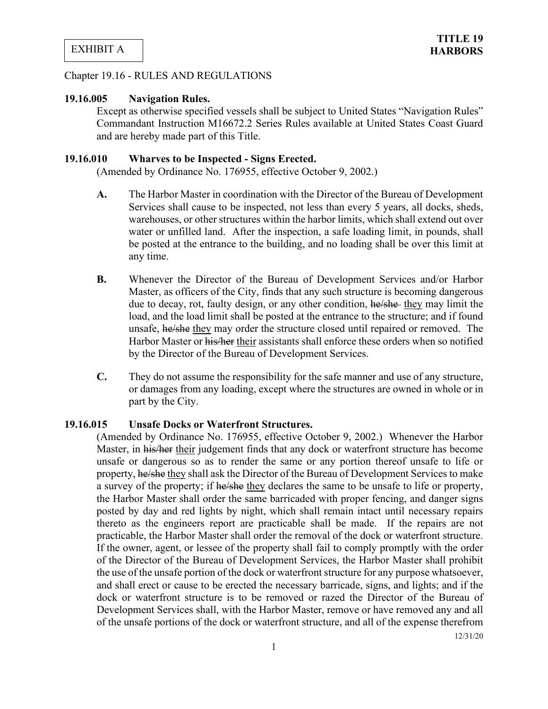#### Chapter 19.16 - RULES AND REGULATIONS

#### **19.16.005 Navigation Rules.**

Except as otherwise specified vessels shall be subject to United States "Navigation Rules" Commandant Instruction M16672.2 Series Rules available at United States Coast Guard and are hereby made part of this Title.

#### **19.16.010 Wharves to be Inspected - Signs Erected.**

(Amended by Ordinance No. 176955, effective October 9, 2002.)

- **A.** The Harbor Master in coordination with the Director of the Bureau of Development Services shall cause to be inspected, not less than every 5 years, all docks, sheds, warehouses, or other structures within the harbor limits, which shall extend out over water or unfilled land. After the inspection, a safe loading limit, in pounds, shall be posted at the entrance to the building, and no loading shall be over this limit at any time.
- **B.** Whenever the Director of the Bureau of Development Services and/or Harbor Master, as officers of the City, finds that any such structure is becoming dangerous due to decay, rot, faulty design, or any other condition, he/she they may limit the load, and the load limit shall be posted at the entrance to the structure; and if found unsafe, he/she they may order the structure closed until repaired or removed. The Harbor Master or his/her their assistants shall enforce these orders when so notified by the Director of the Bureau of Development Services.
- **C.** They do not assume the responsibility for the safe manner and use of any structure, or damages from any loading, except where the structures are owned in whole or in part by the City.

#### **19.16.015 Unsafe Docks or Waterfront Structures.**

(Amended by Ordinance No. 176955, effective October 9, 2002.) Whenever the Harbor Master, in his/her their judgement finds that any dock or waterfront structure has become unsafe or dangerous so as to render the same or any portion thereof unsafe to life or property, he/she they shall ask the Director of the Bureau of Development Services to make a survey of the property; if he/she they declares the same to be unsafe to life or property, the Harbor Master shall order the same barricaded with proper fencing, and danger signs posted by day and red lights by night, which shall remain intact until necessary repairs thereto as the engineers report are practicable shall be made. If the repairs are not practicable, the Harbor Master shall order the removal of the dock or waterfront structure. If the owner, agent, or lessee of the property shall fail to comply promptly with the order of the Director of the Bureau of Development Services, the Harbor Master shall prohibit the use of the unsafe portion of the dock or waterfront structure for any purpose whatsoever, and shall erect or cause to be erected the necessary barricade, signs, and lights; and if the dock or waterfront structure is to be removed or razed the Director of the Bureau of Development Services shall, with the Harbor Master, remove or have removed any and all of the unsafe portions of the dock or waterfront structure, and all of the expense therefrom

12/31/20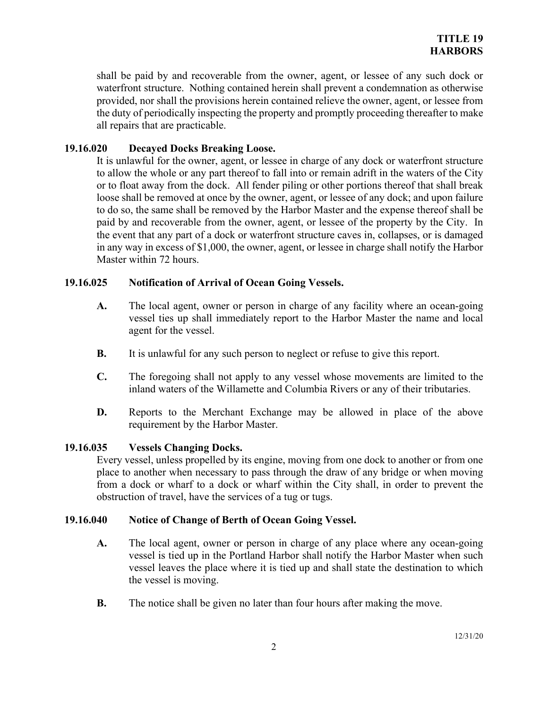shall be paid by and recoverable from the owner, agent, or lessee of any such dock or waterfront structure. Nothing contained herein shall prevent a condemnation as otherwise provided, nor shall the provisions herein contained relieve the owner, agent, or lessee from the duty of periodically inspecting the property and promptly proceeding thereafter to make all repairs that are practicable.

## **19.16.020 Decayed Docks Breaking Loose.**

It is unlawful for the owner, agent, or lessee in charge of any dock or waterfront structure to allow the whole or any part thereof to fall into or remain adrift in the waters of the City or to float away from the dock. All fender piling or other portions thereof that shall break loose shall be removed at once by the owner, agent, or lessee of any dock; and upon failure to do so, the same shall be removed by the Harbor Master and the expense thereof shall be paid by and recoverable from the owner, agent, or lessee of the property by the City. In the event that any part of a dock or waterfront structure caves in, collapses, or is damaged in any way in excess of \$1,000, the owner, agent, or lessee in charge shall notify the Harbor Master within 72 hours.

## **19.16.025 Notification of Arrival of Ocean Going Vessels.**

- **A.** The local agent, owner or person in charge of any facility where an ocean-going vessel ties up shall immediately report to the Harbor Master the name and local agent for the vessel.
- **B.** It is unlawful for any such person to neglect or refuse to give this report.
- **C.** The foregoing shall not apply to any vessel whose movements are limited to the inland waters of the Willamette and Columbia Rivers or any of their tributaries.
- **D.** Reports to the Merchant Exchange may be allowed in place of the above requirement by the Harbor Master.

## **19.16.035 Vessels Changing Docks.**

Every vessel, unless propelled by its engine, moving from one dock to another or from one place to another when necessary to pass through the draw of any bridge or when moving from a dock or wharf to a dock or wharf within the City shall, in order to prevent the obstruction of travel, have the services of a tug or tugs.

## **19.16.040 Notice of Change of Berth of Ocean Going Vessel.**

- **A.** The local agent, owner or person in charge of any place where any ocean-going vessel is tied up in the Portland Harbor shall notify the Harbor Master when such vessel leaves the place where it is tied up and shall state the destination to which the vessel is moving.
- **B.** The notice shall be given no later than four hours after making the move.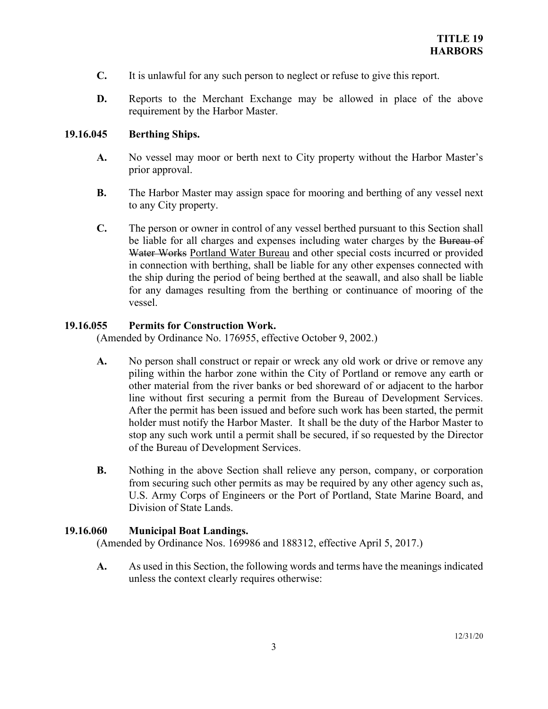- **C.** It is unlawful for any such person to neglect or refuse to give this report.
- **D.** Reports to the Merchant Exchange may be allowed in place of the above requirement by the Harbor Master.

## **19.16.045 Berthing Ships.**

- **A.** No vessel may moor or berth next to City property without the Harbor Master's prior approval.
- **B.** The Harbor Master may assign space for mooring and berthing of any vessel next to any City property.
- **C.** The person or owner in control of any vessel berthed pursuant to this Section shall be liable for all charges and expenses including water charges by the Bureau of Water Works Portland Water Bureau and other special costs incurred or provided in connection with berthing, shall be liable for any other expenses connected with the ship during the period of being berthed at the seawall, and also shall be liable for any damages resulting from the berthing or continuance of mooring of the vessel.

## **19.16.055 Permits for Construction Work.**

(Amended by Ordinance No. 176955, effective October 9, 2002.)

- **A.** No person shall construct or repair or wreck any old work or drive or remove any piling within the harbor zone within the City of Portland or remove any earth or other material from the river banks or bed shoreward of or adjacent to the harbor line without first securing a permit from the Bureau of Development Services. After the permit has been issued and before such work has been started, the permit holder must notify the Harbor Master. It shall be the duty of the Harbor Master to stop any such work until a permit shall be secured, if so requested by the Director of the Bureau of Development Services.
- **B.** Nothing in the above Section shall relieve any person, company, or corporation from securing such other permits as may be required by any other agency such as, U.S. Army Corps of Engineers or the Port of Portland, State Marine Board, and Division of State Lands.

## **19.16.060 Municipal Boat Landings.**

(Amended by Ordinance Nos. 169986 and 188312, effective April 5, 2017.)

**A.** As used in this Section, the following words and terms have the meanings indicated unless the context clearly requires otherwise: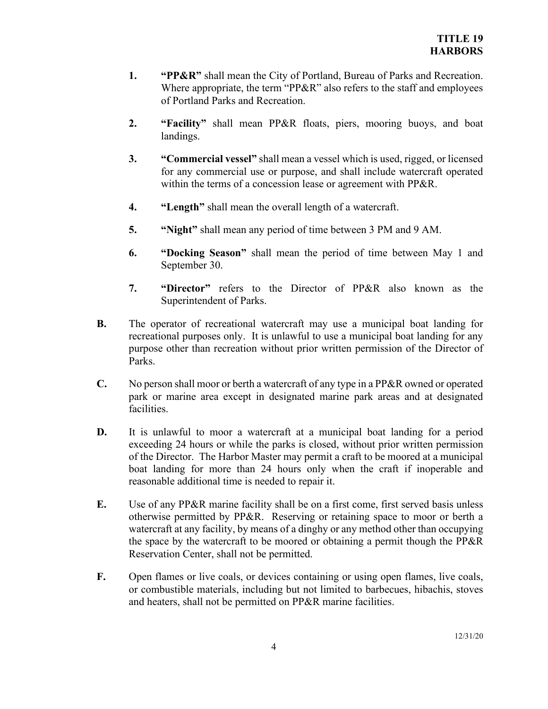- **1. "PP&R"** shall mean the City of Portland, Bureau of Parks and Recreation. Where appropriate, the term "PP&R" also refers to the staff and employees of Portland Parks and Recreation.
- **2. "Facility"** shall mean PP&R floats, piers, mooring buoys, and boat landings.
- **3. "Commercial vessel"** shall mean a vessel which is used, rigged, or licensed for any commercial use or purpose, and shall include watercraft operated within the terms of a concession lease or agreement with PP&R.
- **4. "Length"** shall mean the overall length of a watercraft.
- **5. "Night"** shall mean any period of time between 3 PM and 9 AM.
- **6. "Docking Season"** shall mean the period of time between May 1 and September 30.
- **7. "Director"** refers to the Director of PP&R also known as the Superintendent of Parks.
- **B.** The operator of recreational watercraft may use a municipal boat landing for recreational purposes only. It is unlawful to use a municipal boat landing for any purpose other than recreation without prior written permission of the Director of Parks.
- **C.** No person shall moor or berth a watercraft of any type in a PP&R owned or operated park or marine area except in designated marine park areas and at designated facilities.
- **D.** It is unlawful to moor a watercraft at a municipal boat landing for a period exceeding 24 hours or while the parks is closed, without prior written permission of the Director. The Harbor Master may permit a craft to be moored at a municipal boat landing for more than 24 hours only when the craft if inoperable and reasonable additional time is needed to repair it.
- **E.** Use of any PP&R marine facility shall be on a first come, first served basis unless otherwise permitted by PP&R. Reserving or retaining space to moor or berth a watercraft at any facility, by means of a dinghy or any method other than occupying the space by the watercraft to be moored or obtaining a permit though the PP&R Reservation Center, shall not be permitted.
- **F.** Open flames or live coals, or devices containing or using open flames, live coals, or combustible materials, including but not limited to barbecues, hibachis, stoves and heaters, shall not be permitted on PP&R marine facilities.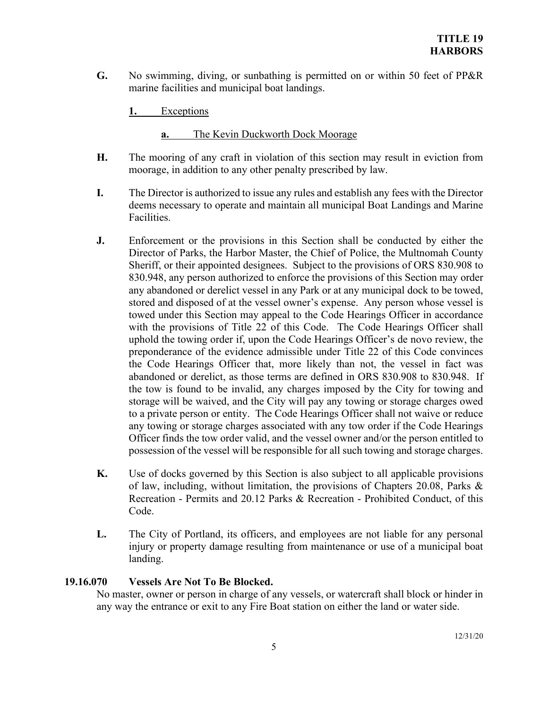**G.** No swimming, diving, or sunbathing is permitted on or within 50 feet of PP&R marine facilities and municipal boat landings.

**1.** Exceptions

**a.** The Kevin Duckworth Dock Moorage

- **H.** The mooring of any craft in violation of this section may result in eviction from moorage, in addition to any other penalty prescribed by law.
- **I.** The Director is authorized to issue any rules and establish any fees with the Director deems necessary to operate and maintain all municipal Boat Landings and Marine Facilities.
- **J.** Enforcement or the provisions in this Section shall be conducted by either the Director of Parks, the Harbor Master, the Chief of Police, the Multnomah County Sheriff, or their appointed designees. Subject to the provisions of ORS 830.908 to 830.948, any person authorized to enforce the provisions of this Section may order any abandoned or derelict vessel in any Park or at any municipal dock to be towed, stored and disposed of at the vessel owner's expense. Any person whose vessel is towed under this Section may appeal to the Code Hearings Officer in accordance with the provisions of Title 22 of this Code. The Code Hearings Officer shall uphold the towing order if, upon the Code Hearings Officer's de novo review, the preponderance of the evidence admissible under Title 22 of this Code convinces the Code Hearings Officer that, more likely than not, the vessel in fact was abandoned or derelict, as those terms are defined in ORS 830.908 to 830.948. If the tow is found to be invalid, any charges imposed by the City for towing and storage will be waived, and the City will pay any towing or storage charges owed to a private person or entity. The Code Hearings Officer shall not waive or reduce any towing or storage charges associated with any tow order if the Code Hearings Officer finds the tow order valid, and the vessel owner and/or the person entitled to possession of the vessel will be responsible for all such towing and storage charges.
- **K.** Use of docks governed by this Section is also subject to all applicable provisions of law, including, without limitation, the provisions of Chapters 20.08, Parks & Recreation - Permits and 20.12 Parks & Recreation - Prohibited Conduct, of this Code.
- L. The City of Portland, its officers, and employees are not liable for any personal injury or property damage resulting from maintenance or use of a municipal boat landing.

# **19.16.070 Vessels Are Not To Be Blocked.**

No master, owner or person in charge of any vessels, or watercraft shall block or hinder in any way the entrance or exit to any Fire Boat station on either the land or water side.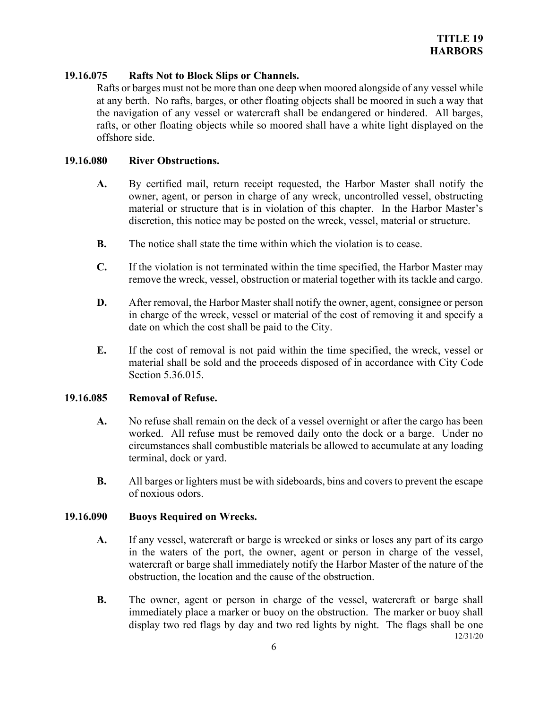## **19.16.075 Rafts Not to Block Slips or Channels.**

Rafts or barges must not be more than one deep when moored alongside of any vessel while at any berth. No rafts, barges, or other floating objects shall be moored in such a way that the navigation of any vessel or watercraft shall be endangered or hindered. All barges, rafts, or other floating objects while so moored shall have a white light displayed on the offshore side.

## **19.16.080 River Obstructions.**

- **A.** By certified mail, return receipt requested, the Harbor Master shall notify the owner, agent, or person in charge of any wreck, uncontrolled vessel, obstructing material or structure that is in violation of this chapter. In the Harbor Master's discretion, this notice may be posted on the wreck, vessel, material or structure.
- **B.** The notice shall state the time within which the violation is to cease.
- **C.** If the violation is not terminated within the time specified, the Harbor Master may remove the wreck, vessel, obstruction or material together with its tackle and cargo.
- **D.** After removal, the Harbor Master shall notify the owner, agent, consignee or person in charge of the wreck, vessel or material of the cost of removing it and specify a date on which the cost shall be paid to the City.
- **E.** If the cost of removal is not paid within the time specified, the wreck, vessel or material shall be sold and the proceeds disposed of in accordance with City Code Section 5.36.015.

## **19.16.085 Removal of Refuse.**

- **A.** No refuse shall remain on the deck of a vessel overnight or after the cargo has been worked. All refuse must be removed daily onto the dock or a barge. Under no circumstances shall combustible materials be allowed to accumulate at any loading terminal, dock or yard.
- **B.** All barges or lighters must be with sideboards, bins and covers to prevent the escape of noxious odors.

## **19.16.090 Buoys Required on Wrecks.**

- **A.** If any vessel, watercraft or barge is wrecked or sinks or loses any part of its cargo in the waters of the port, the owner, agent or person in charge of the vessel, watercraft or barge shall immediately notify the Harbor Master of the nature of the obstruction, the location and the cause of the obstruction.
- 12/31/20 **B.** The owner, agent or person in charge of the vessel, watercraft or barge shall immediately place a marker or buoy on the obstruction. The marker or buoy shall display two red flags by day and two red lights by night. The flags shall be one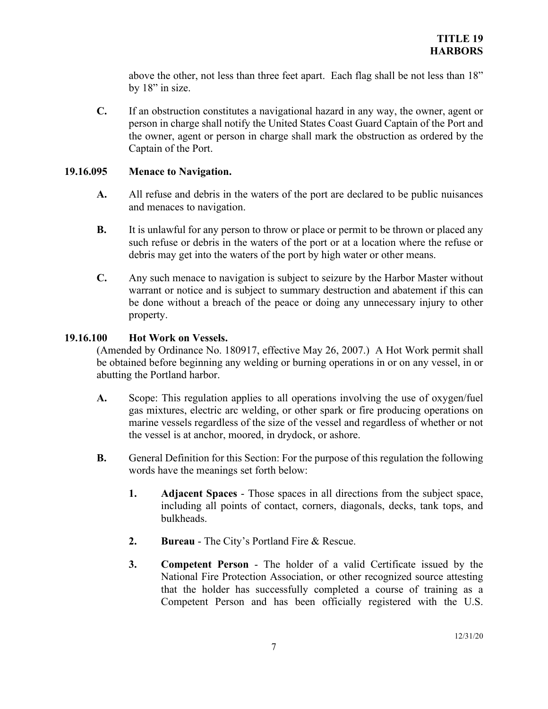above the other, not less than three feet apart. Each flag shall be not less than 18" by 18" in size.

**C.** If an obstruction constitutes a navigational hazard in any way, the owner, agent or person in charge shall notify the United States Coast Guard Captain of the Port and the owner, agent or person in charge shall mark the obstruction as ordered by the Captain of the Port.

## **19.16.095 Menace to Navigation.**

- **A.** All refuse and debris in the waters of the port are declared to be public nuisances and menaces to navigation.
- **B.** It is unlawful for any person to throw or place or permit to be thrown or placed any such refuse or debris in the waters of the port or at a location where the refuse or debris may get into the waters of the port by high water or other means.
- **C.** Any such menace to navigation is subject to seizure by the Harbor Master without warrant or notice and is subject to summary destruction and abatement if this can be done without a breach of the peace or doing any unnecessary injury to other property.

## **19.16.100 Hot Work on Vessels.**

(Amended by Ordinance No. 180917, effective May 26, 2007.) A Hot Work permit shall be obtained before beginning any welding or burning operations in or on any vessel, in or abutting the Portland harbor.

- **A.** Scope: This regulation applies to all operations involving the use of oxygen/fuel gas mixtures, electric arc welding, or other spark or fire producing operations on marine vessels regardless of the size of the vessel and regardless of whether or not the vessel is at anchor, moored, in drydock, or ashore.
- **B.** General Definition for this Section: For the purpose of this regulation the following words have the meanings set forth below:
	- **1. Adjacent Spaces** Those spaces in all directions from the subject space, including all points of contact, corners, diagonals, decks, tank tops, and bulkheads.
	- **2. Bureau**  The City's Portland Fire & Rescue.
	- **3. Competent Person** The holder of a valid Certificate issued by the National Fire Protection Association, or other recognized source attesting that the holder has successfully completed a course of training as a Competent Person and has been officially registered with the U.S.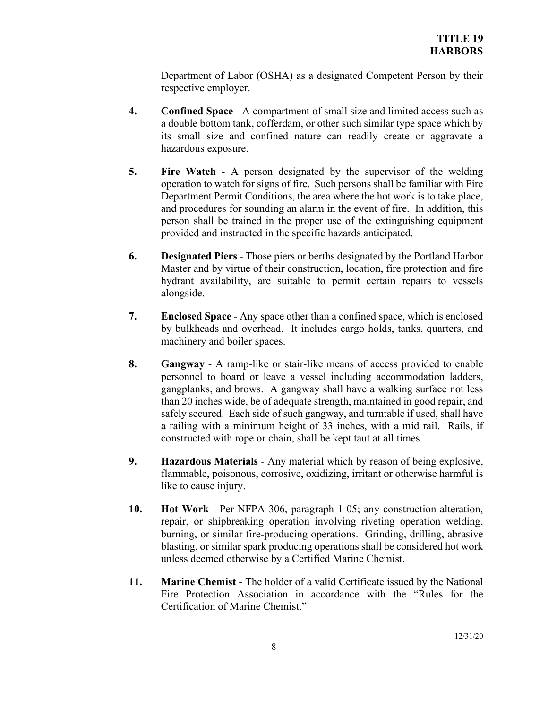Department of Labor (OSHA) as a designated Competent Person by their respective employer.

- **4. Confined Space** A compartment of small size and limited access such as a double bottom tank, cofferdam, or other such similar type space which by its small size and confined nature can readily create or aggravate a hazardous exposure.
- **5. Fire Watch** A person designated by the supervisor of the welding operation to watch for signs of fire. Such persons shall be familiar with Fire Department Permit Conditions, the area where the hot work is to take place, and procedures for sounding an alarm in the event of fire. In addition, this person shall be trained in the proper use of the extinguishing equipment provided and instructed in the specific hazards anticipated.
- **6. Designated Piers** Those piers or berths designated by the Portland Harbor Master and by virtue of their construction, location, fire protection and fire hydrant availability, are suitable to permit certain repairs to vessels alongside.
- **7. Enclosed Space** Any space other than a confined space, which is enclosed by bulkheads and overhead. It includes cargo holds, tanks, quarters, and machinery and boiler spaces.
- **8. Gangway** A ramp-like or stair-like means of access provided to enable personnel to board or leave a vessel including accommodation ladders, gangplanks, and brows. A gangway shall have a walking surface not less than 20 inches wide, be of adequate strength, maintained in good repair, and safely secured. Each side of such gangway, and turntable if used, shall have a railing with a minimum height of 33 inches, with a mid rail. Rails, if constructed with rope or chain, shall be kept taut at all times.
- **9. Hazardous Materials** Any material which by reason of being explosive, flammable, poisonous, corrosive, oxidizing, irritant or otherwise harmful is like to cause injury.
- **10. Hot Work** Per NFPA 306, paragraph 1-05; any construction alteration, repair, or shipbreaking operation involving riveting operation welding, burning, or similar fire-producing operations. Grinding, drilling, abrasive blasting, or similar spark producing operations shall be considered hot work unless deemed otherwise by a Certified Marine Chemist.
- **11. Marine Chemist**  The holder of a valid Certificate issued by the National Fire Protection Association in accordance with the "Rules for the Certification of Marine Chemist."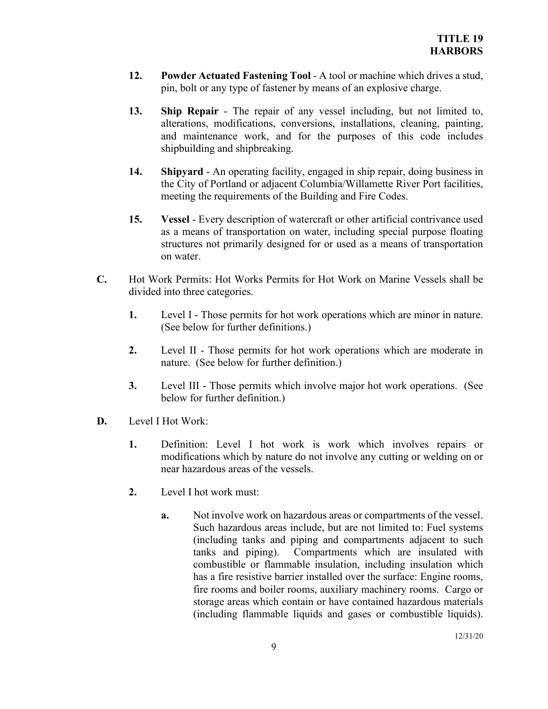- **12. Powder Actuated Fastening Tool** A tool or machine which drives a stud, pin, bolt or any type of fastener by means of an explosive charge.
- **13. Ship Repair** The repair of any vessel including, but not limited to, alterations, modifications, conversions, installations, cleaning, painting, and maintenance work, and for the purposes of this code includes shipbuilding and shipbreaking.
- **14. Shipyard** An operating facility, engaged in ship repair, doing business in the City of Portland or adjacent Columbia/Willamette River Port facilities, meeting the requirements of the Building and Fire Codes.
- **15. Vessel**  Every description of watercraft or other artificial contrivance used as a means of transportation on water, including special purpose floating structures not primarily designed for or used as a means of transportation on water.
- **C.** Hot Work Permits: Hot Works Permits for Hot Work on Marine Vessels shall be divided into three categories.
	- **1.** Level I Those permits for hot work operations which are minor in nature. (See below for further definitions.)
	- **2.** Level II Those permits for hot work operations which are moderate in nature. (See below for further definition.)
	- **3.** Level III Those permits which involve major hot work operations. (See below for further definition.)
- **D.** Level I Hot Work:
	- **1.** Definition: Level I hot work is work which involves repairs or modifications which by nature do not involve any cutting or welding on or near hazardous areas of the vessels.
	- **2.** Level I hot work must:
		- **a.** Not involve work on hazardous areas or compartments of the vessel. Such hazardous areas include, but are not limited to: Fuel systems (including tanks and piping and compartments adjacent to such tanks and piping). Compartments which are insulated with combustible or flammable insulation, including insulation which has a fire resistive barrier installed over the surface: Engine rooms, fire rooms and boiler rooms, auxiliary machinery rooms. Cargo or storage areas which contain or have contained hazardous materials (including flammable liquids and gases or combustible liquids).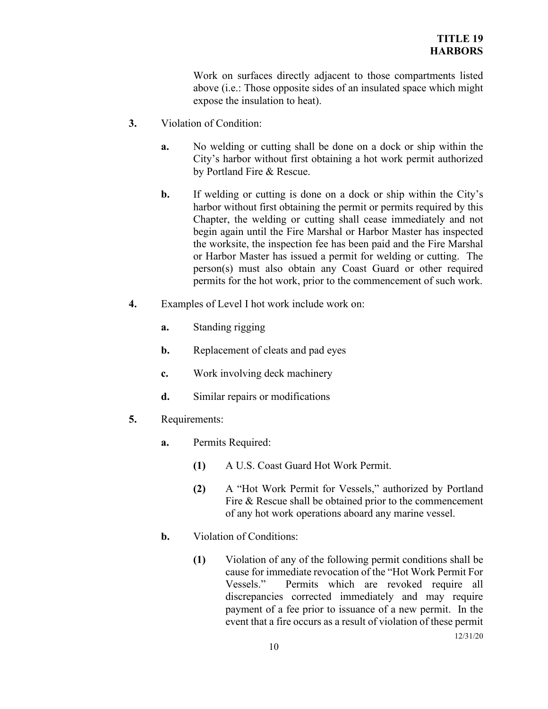Work on surfaces directly adjacent to those compartments listed above (i.e.: Those opposite sides of an insulated space which might expose the insulation to heat).

- **3.** Violation of Condition:
	- **a.** No welding or cutting shall be done on a dock or ship within the City's harbor without first obtaining a hot work permit authorized by Portland Fire & Rescue.
	- **b.** If welding or cutting is done on a dock or ship within the City's harbor without first obtaining the permit or permits required by this Chapter, the welding or cutting shall cease immediately and not begin again until the Fire Marshal or Harbor Master has inspected the worksite, the inspection fee has been paid and the Fire Marshal or Harbor Master has issued a permit for welding or cutting. The person(s) must also obtain any Coast Guard or other required permits for the hot work, prior to the commencement of such work.
- **4.** Examples of Level I hot work include work on:
	- **a.** Standing rigging
	- **b.** Replacement of cleats and pad eyes
	- **c.** Work involving deck machinery
	- **d.** Similar repairs or modifications
- **5.** Requirements:
	- **a.** Permits Required:
		- **(1)** A U.S. Coast Guard Hot Work Permit.
		- **(2)** A "Hot Work Permit for Vessels," authorized by Portland Fire & Rescue shall be obtained prior to the commencement of any hot work operations aboard any marine vessel.
	- **b.** Violation of Conditions:
		- **(1)** Violation of any of the following permit conditions shall be cause for immediate revocation of the "Hot Work Permit For Vessels." Permits which are revoked require all discrepancies corrected immediately and may require payment of a fee prior to issuance of a new permit. In the event that a fire occurs as a result of violation of these permit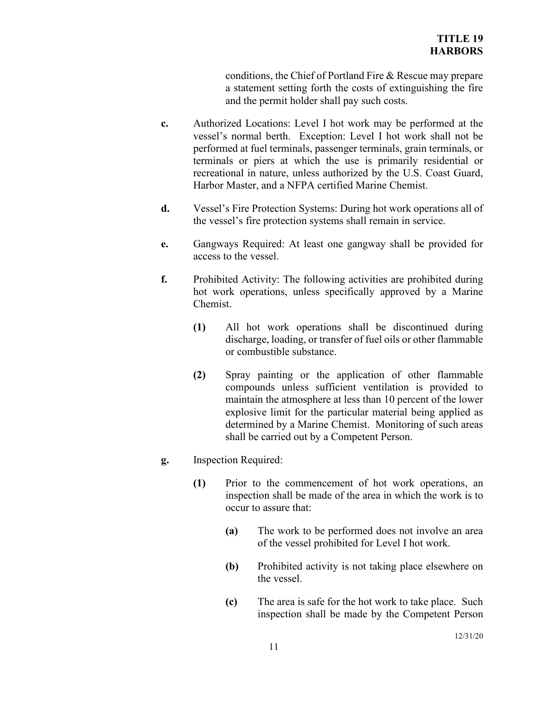conditions, the Chief of Portland Fire & Rescue may prepare a statement setting forth the costs of extinguishing the fire and the permit holder shall pay such costs.

- **c.** Authorized Locations: Level I hot work may be performed at the vessel's normal berth. Exception: Level I hot work shall not be performed at fuel terminals, passenger terminals, grain terminals, or terminals or piers at which the use is primarily residential or recreational in nature, unless authorized by the U.S. Coast Guard, Harbor Master, and a NFPA certified Marine Chemist.
- **d.** Vessel's Fire Protection Systems: During hot work operations all of the vessel's fire protection systems shall remain in service.
- **e.** Gangways Required: At least one gangway shall be provided for access to the vessel.
- **f.** Prohibited Activity: The following activities are prohibited during hot work operations, unless specifically approved by a Marine Chemist.
	- **(1)** All hot work operations shall be discontinued during discharge, loading, or transfer of fuel oils or other flammable or combustible substance.
	- **(2)** Spray painting or the application of other flammable compounds unless sufficient ventilation is provided to maintain the atmosphere at less than 10 percent of the lower explosive limit for the particular material being applied as determined by a Marine Chemist. Monitoring of such areas shall be carried out by a Competent Person.
- **g.** Inspection Required:
	- **(1)** Prior to the commencement of hot work operations, an inspection shall be made of the area in which the work is to occur to assure that:
		- **(a)** The work to be performed does not involve an area of the vessel prohibited for Level I hot work.
		- **(b)** Prohibited activity is not taking place elsewhere on the vessel.
		- **(c)** The area is safe for the hot work to take place. Such inspection shall be made by the Competent Person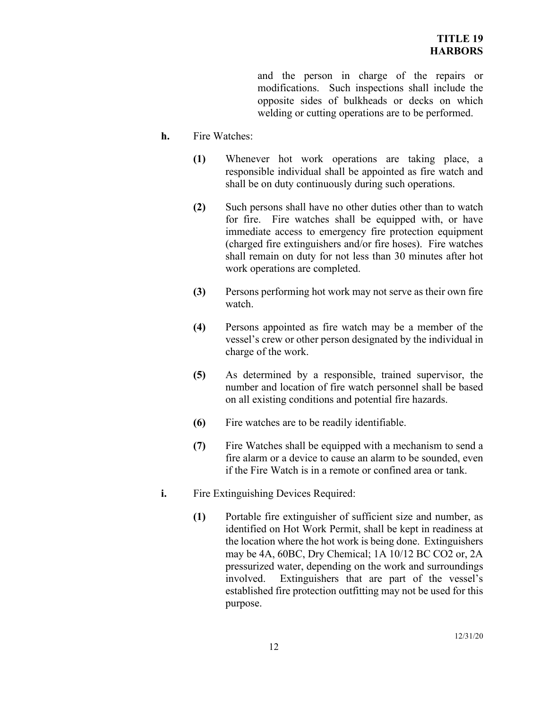and the person in charge of the repairs or modifications. Such inspections shall include the opposite sides of bulkheads or decks on which welding or cutting operations are to be performed.

- **h.** Fire Watches:
	- **(1)** Whenever hot work operations are taking place, a responsible individual shall be appointed as fire watch and shall be on duty continuously during such operations.
	- **(2)** Such persons shall have no other duties other than to watch for fire. Fire watches shall be equipped with, or have immediate access to emergency fire protection equipment (charged fire extinguishers and/or fire hoses). Fire watches shall remain on duty for not less than 30 minutes after hot work operations are completed.
	- **(3)** Persons performing hot work may not serve as their own fire watch.
	- **(4)** Persons appointed as fire watch may be a member of the vessel's crew or other person designated by the individual in charge of the work.
	- **(5)** As determined by a responsible, trained supervisor, the number and location of fire watch personnel shall be based on all existing conditions and potential fire hazards.
	- **(6)** Fire watches are to be readily identifiable.
	- **(7)** Fire Watches shall be equipped with a mechanism to send a fire alarm or a device to cause an alarm to be sounded, even if the Fire Watch is in a remote or confined area or tank.
- **i.** Fire Extinguishing Devices Required:
	- **(1)** Portable fire extinguisher of sufficient size and number, as identified on Hot Work Permit, shall be kept in readiness at the location where the hot work is being done. Extinguishers may be 4A, 60BC, Dry Chemical; 1A 10/12 BC CO2 or, 2A pressurized water, depending on the work and surroundings involved. Extinguishers that are part of the vessel's established fire protection outfitting may not be used for this purpose.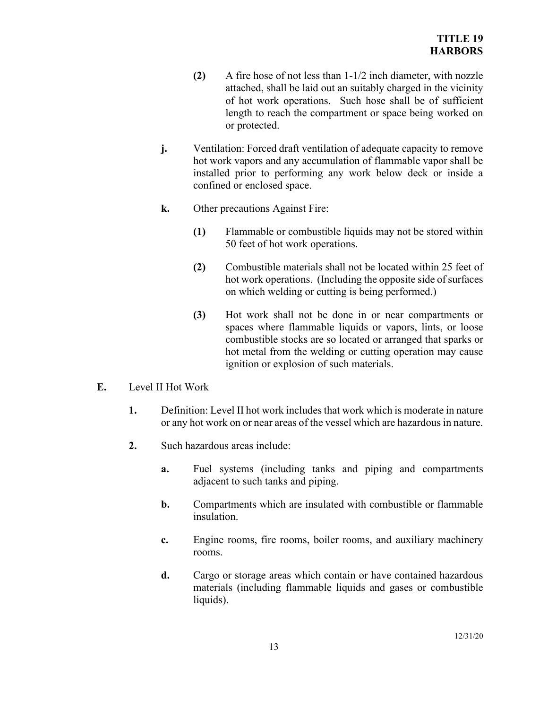- **(2)** A fire hose of not less than 1-1/2 inch diameter, with nozzle attached, shall be laid out an suitably charged in the vicinity of hot work operations. Such hose shall be of sufficient length to reach the compartment or space being worked on or protected.
- **j.** Ventilation: Forced draft ventilation of adequate capacity to remove hot work vapors and any accumulation of flammable vapor shall be installed prior to performing any work below deck or inside a confined or enclosed space.
- **k.** Other precautions Against Fire:
	- **(1)** Flammable or combustible liquids may not be stored within 50 feet of hot work operations.
	- **(2)** Combustible materials shall not be located within 25 feet of hot work operations. (Including the opposite side of surfaces on which welding or cutting is being performed.)
	- **(3)** Hot work shall not be done in or near compartments or spaces where flammable liquids or vapors, lints, or loose combustible stocks are so located or arranged that sparks or hot metal from the welding or cutting operation may cause ignition or explosion of such materials.
- **E.** Level II Hot Work
	- **1.** Definition: Level II hot work includes that work which is moderate in nature or any hot work on or near areas of the vessel which are hazardous in nature.
	- **2.** Such hazardous areas include:
		- **a.** Fuel systems (including tanks and piping and compartments adjacent to such tanks and piping.
		- **b.** Compartments which are insulated with combustible or flammable insulation.
		- **c.** Engine rooms, fire rooms, boiler rooms, and auxiliary machinery rooms.
		- **d.** Cargo or storage areas which contain or have contained hazardous materials (including flammable liquids and gases or combustible liquids).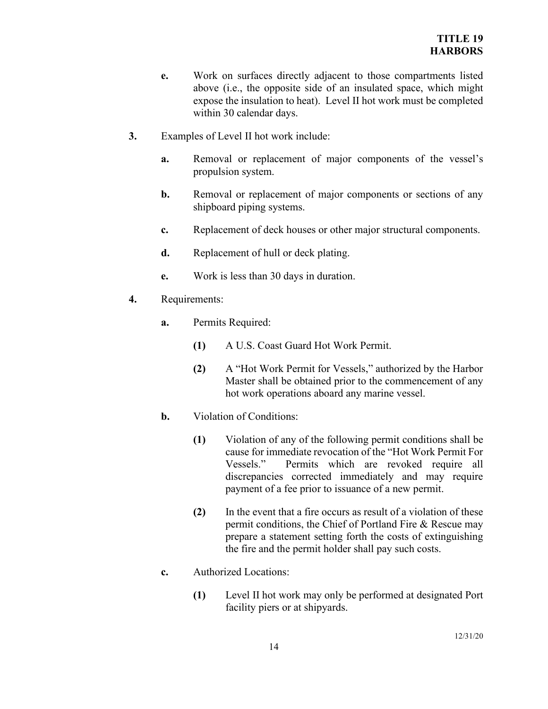- **e.** Work on surfaces directly adjacent to those compartments listed above (i.e., the opposite side of an insulated space, which might expose the insulation to heat). Level II hot work must be completed within 30 calendar days.
- **3.** Examples of Level II hot work include:
	- **a.** Removal or replacement of major components of the vessel's propulsion system.
	- **b.** Removal or replacement of major components or sections of any shipboard piping systems.
	- **c.** Replacement of deck houses or other major structural components.
	- **d.** Replacement of hull or deck plating.
	- **e.** Work is less than 30 days in duration.
- **4.** Requirements:
	- **a.** Permits Required:
		- **(1)** A U.S. Coast Guard Hot Work Permit.
		- **(2)** A "Hot Work Permit for Vessels," authorized by the Harbor Master shall be obtained prior to the commencement of any hot work operations aboard any marine vessel.
	- **b.** Violation of Conditions:
		- **(1)** Violation of any of the following permit conditions shall be cause for immediate revocation of the "Hot Work Permit For Vessels." Permits which are revoked require all discrepancies corrected immediately and may require payment of a fee prior to issuance of a new permit.
		- **(2)** In the event that a fire occurs as result of a violation of these permit conditions, the Chief of Portland Fire & Rescue may prepare a statement setting forth the costs of extinguishing the fire and the permit holder shall pay such costs.
	- **c.** Authorized Locations:
		- **(1)** Level II hot work may only be performed at designated Port facility piers or at shipyards.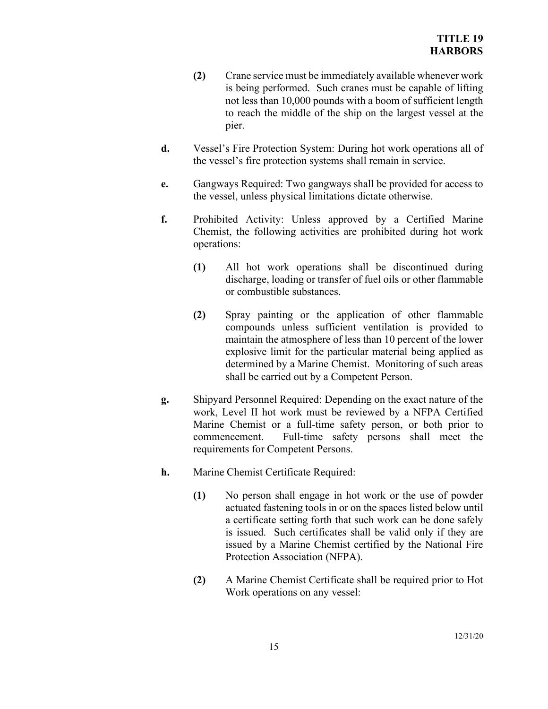- **(2)** Crane service must be immediately available whenever work is being performed. Such cranes must be capable of lifting not less than 10,000 pounds with a boom of sufficient length to reach the middle of the ship on the largest vessel at the pier.
- **d.** Vessel's Fire Protection System: During hot work operations all of the vessel's fire protection systems shall remain in service.
- **e.** Gangways Required: Two gangways shall be provided for access to the vessel, unless physical limitations dictate otherwise.
- **f.** Prohibited Activity: Unless approved by a Certified Marine Chemist, the following activities are prohibited during hot work operations:
	- **(1)** All hot work operations shall be discontinued during discharge, loading or transfer of fuel oils or other flammable or combustible substances.
	- **(2)** Spray painting or the application of other flammable compounds unless sufficient ventilation is provided to maintain the atmosphere of less than 10 percent of the lower explosive limit for the particular material being applied as determined by a Marine Chemist. Monitoring of such areas shall be carried out by a Competent Person.
- **g.** Shipyard Personnel Required: Depending on the exact nature of the work, Level II hot work must be reviewed by a NFPA Certified Marine Chemist or a full-time safety person, or both prior to commencement. Full-time safety persons shall meet the requirements for Competent Persons.
- **h.** Marine Chemist Certificate Required:
	- **(1)** No person shall engage in hot work or the use of powder actuated fastening tools in or on the spaces listed below until a certificate setting forth that such work can be done safely is issued. Such certificates shall be valid only if they are issued by a Marine Chemist certified by the National Fire Protection Association (NFPA).
	- **(2)** A Marine Chemist Certificate shall be required prior to Hot Work operations on any vessel: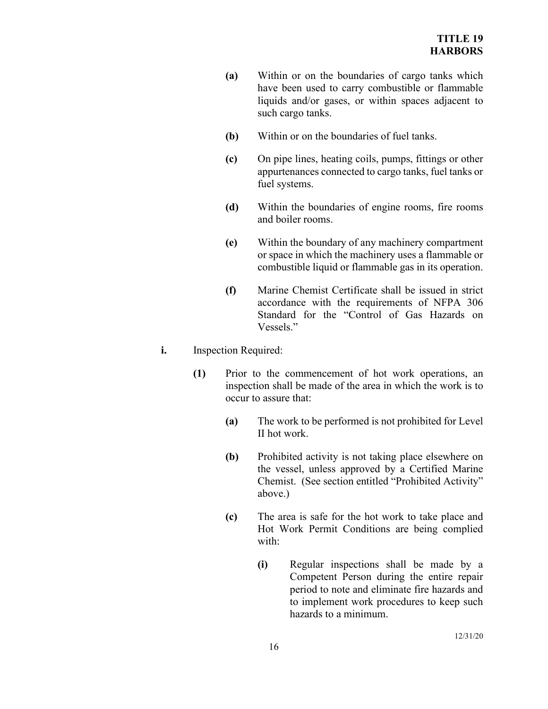- **(a)** Within or on the boundaries of cargo tanks which have been used to carry combustible or flammable liquids and/or gases, or within spaces adjacent to such cargo tanks.
- **(b)** Within or on the boundaries of fuel tanks.
- **(c)** On pipe lines, heating coils, pumps, fittings or other appurtenances connected to cargo tanks, fuel tanks or fuel systems.
- **(d)** Within the boundaries of engine rooms, fire rooms and boiler rooms.
- **(e)** Within the boundary of any machinery compartment or space in which the machinery uses a flammable or combustible liquid or flammable gas in its operation.
- **(f)** Marine Chemist Certificate shall be issued in strict accordance with the requirements of NFPA 306 Standard for the "Control of Gas Hazards on Vessels."

# **i.** Inspection Required:

- **(1)** Prior to the commencement of hot work operations, an inspection shall be made of the area in which the work is to occur to assure that:
	- **(a)** The work to be performed is not prohibited for Level II hot work.
	- **(b)** Prohibited activity is not taking place elsewhere on the vessel, unless approved by a Certified Marine Chemist. (See section entitled "Prohibited Activity" above.)
	- **(c)** The area is safe for the hot work to take place and Hot Work Permit Conditions are being complied with:
		- **(i)** Regular inspections shall be made by a Competent Person during the entire repair period to note and eliminate fire hazards and to implement work procedures to keep such hazards to a minimum.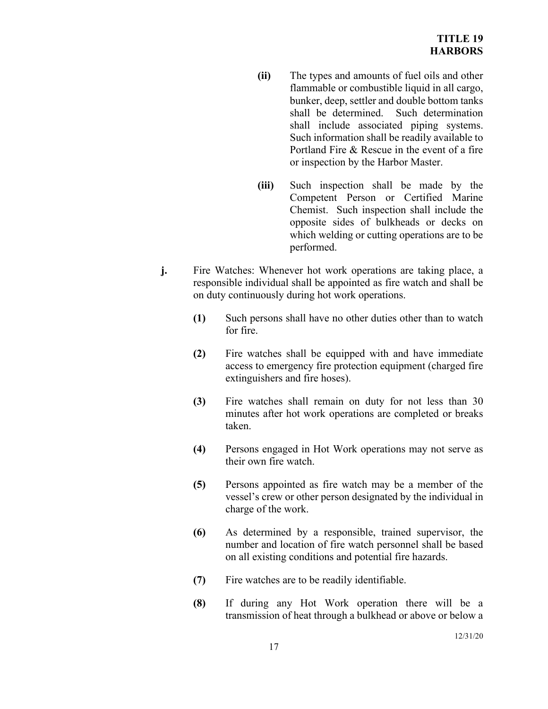- **(ii)** The types and amounts of fuel oils and other flammable or combustible liquid in all cargo, bunker, deep, settler and double bottom tanks shall be determined. Such determination shall include associated piping systems. Such information shall be readily available to Portland Fire & Rescue in the event of a fire or inspection by the Harbor Master.
- **(iii)** Such inspection shall be made by the Competent Person or Certified Marine Chemist. Such inspection shall include the opposite sides of bulkheads or decks on which welding or cutting operations are to be performed.
- **j.** Fire Watches: Whenever hot work operations are taking place, a responsible individual shall be appointed as fire watch and shall be on duty continuously during hot work operations.
	- **(1)** Such persons shall have no other duties other than to watch for fire.
	- **(2)** Fire watches shall be equipped with and have immediate access to emergency fire protection equipment (charged fire extinguishers and fire hoses).
	- **(3)** Fire watches shall remain on duty for not less than 30 minutes after hot work operations are completed or breaks taken.
	- **(4)** Persons engaged in Hot Work operations may not serve as their own fire watch.
	- **(5)** Persons appointed as fire watch may be a member of the vessel's crew or other person designated by the individual in charge of the work.
	- **(6)** As determined by a responsible, trained supervisor, the number and location of fire watch personnel shall be based on all existing conditions and potential fire hazards.
	- **(7)** Fire watches are to be readily identifiable.
	- **(8)** If during any Hot Work operation there will be a transmission of heat through a bulkhead or above or below a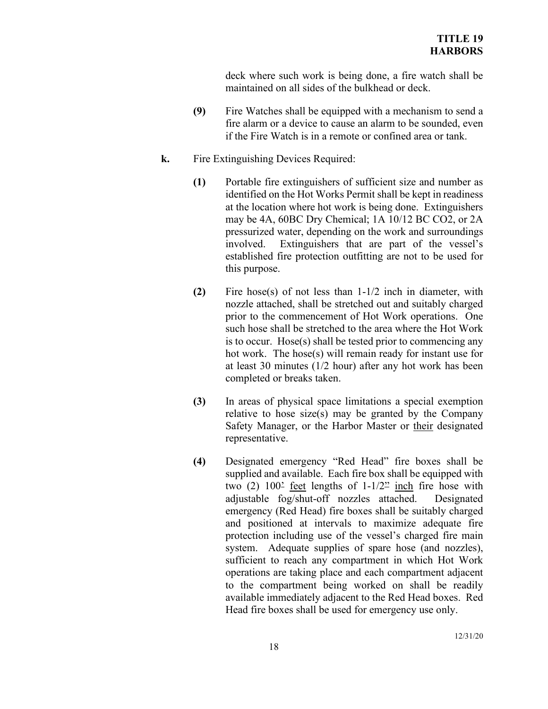deck where such work is being done, a fire watch shall be maintained on all sides of the bulkhead or deck.

- **(9)** Fire Watches shall be equipped with a mechanism to send a fire alarm or a device to cause an alarm to be sounded, even if the Fire Watch is in a remote or confined area or tank.
- **k.** Fire Extinguishing Devices Required:
	- **(1)** Portable fire extinguishers of sufficient size and number as identified on the Hot Works Permit shall be kept in readiness at the location where hot work is being done. Extinguishers may be 4A, 60BC Dry Chemical; 1A 10/12 BC CO2, or 2A pressurized water, depending on the work and surroundings involved. Extinguishers that are part of the vessel's established fire protection outfitting are not to be used for this purpose.
	- **(2)** Fire hose(s) of not less than 1-1/2 inch in diameter, with nozzle attached, shall be stretched out and suitably charged prior to the commencement of Hot Work operations. One such hose shall be stretched to the area where the Hot Work is to occur. Hose(s) shall be tested prior to commencing any hot work. The hose(s) will remain ready for instant use for at least 30 minutes (1/2 hour) after any hot work has been completed or breaks taken.
	- **(3)** In areas of physical space limitations a special exemption relative to hose size(s) may be granted by the Company Safety Manager, or the Harbor Master or their designated representative.
	- **(4)** Designated emergency "Red Head" fire boxes shall be supplied and available. Each fire box shall be equipped with two  $(2)$  100<sup>2</sup> feet lengths of  $1-1/2$ <sup>22</sup> inch fire hose with adjustable fog/shut-off nozzles attached. Designated emergency (Red Head) fire boxes shall be suitably charged and positioned at intervals to maximize adequate fire protection including use of the vessel's charged fire main system. Adequate supplies of spare hose (and nozzles), sufficient to reach any compartment in which Hot Work operations are taking place and each compartment adjacent to the compartment being worked on shall be readily available immediately adjacent to the Red Head boxes. Red Head fire boxes shall be used for emergency use only.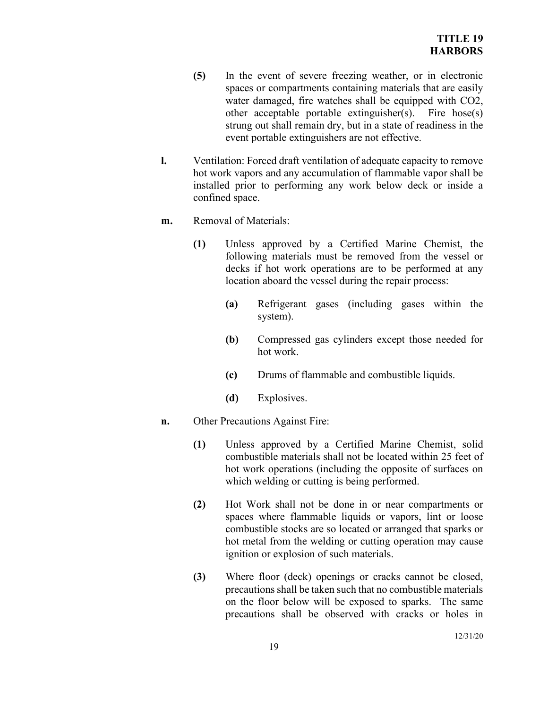- **(5)** In the event of severe freezing weather, or in electronic spaces or compartments containing materials that are easily water damaged, fire watches shall be equipped with CO2, other acceptable portable extinguisher(s). Fire hose(s) strung out shall remain dry, but in a state of readiness in the event portable extinguishers are not effective.
- **l.** Ventilation: Forced draft ventilation of adequate capacity to remove hot work vapors and any accumulation of flammable vapor shall be installed prior to performing any work below deck or inside a confined space.
- **m.** Removal of Materials:
	- **(1)** Unless approved by a Certified Marine Chemist, the following materials must be removed from the vessel or decks if hot work operations are to be performed at any location aboard the vessel during the repair process:
		- **(a)** Refrigerant gases (including gases within the system).
		- **(b)** Compressed gas cylinders except those needed for hot work.
		- **(c)** Drums of flammable and combustible liquids.
		- **(d)** Explosives.
- **n.** Other Precautions Against Fire:
	- **(1)** Unless approved by a Certified Marine Chemist, solid combustible materials shall not be located within 25 feet of hot work operations (including the opposite of surfaces on which welding or cutting is being performed.
	- **(2)** Hot Work shall not be done in or near compartments or spaces where flammable liquids or vapors, lint or loose combustible stocks are so located or arranged that sparks or hot metal from the welding or cutting operation may cause ignition or explosion of such materials.
	- **(3)** Where floor (deck) openings or cracks cannot be closed, precautions shall be taken such that no combustible materials on the floor below will be exposed to sparks. The same precautions shall be observed with cracks or holes in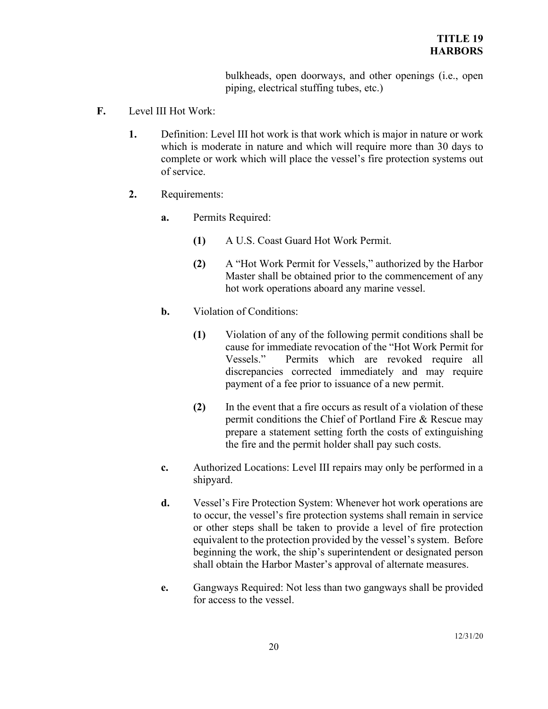bulkheads, open doorways, and other openings (i.e., open piping, electrical stuffing tubes, etc.)

- **F.** Level III Hot Work:
	- **1.** Definition: Level III hot work is that work which is major in nature or work which is moderate in nature and which will require more than 30 days to complete or work which will place the vessel's fire protection systems out of service.
	- **2.** Requirements:
		- **a.** Permits Required:
			- **(1)** A U.S. Coast Guard Hot Work Permit.
			- **(2)** A "Hot Work Permit for Vessels," authorized by the Harbor Master shall be obtained prior to the commencement of any hot work operations aboard any marine vessel.
		- **b.** Violation of Conditions:
			- **(1)** Violation of any of the following permit conditions shall be cause for immediate revocation of the "Hot Work Permit for Vessels." Permits which are revoked require all discrepancies corrected immediately and may require payment of a fee prior to issuance of a new permit.
			- **(2)** In the event that a fire occurs as result of a violation of these permit conditions the Chief of Portland Fire & Rescue may prepare a statement setting forth the costs of extinguishing the fire and the permit holder shall pay such costs.
		- **c.** Authorized Locations: Level III repairs may only be performed in a shipyard.
		- **d.** Vessel's Fire Protection System: Whenever hot work operations are to occur, the vessel's fire protection systems shall remain in service or other steps shall be taken to provide a level of fire protection equivalent to the protection provided by the vessel's system. Before beginning the work, the ship's superintendent or designated person shall obtain the Harbor Master's approval of alternate measures.
		- **e.** Gangways Required: Not less than two gangways shall be provided for access to the vessel.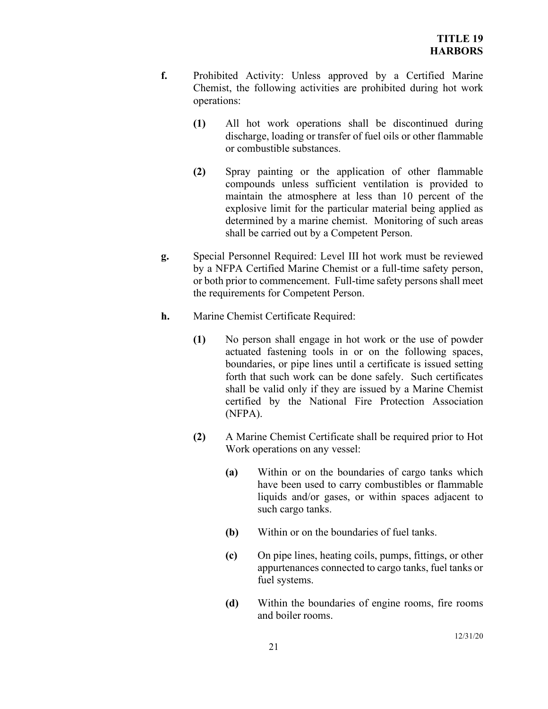- **f.** Prohibited Activity: Unless approved by a Certified Marine Chemist, the following activities are prohibited during hot work operations:
	- **(1)** All hot work operations shall be discontinued during discharge, loading or transfer of fuel oils or other flammable or combustible substances.
	- **(2)** Spray painting or the application of other flammable compounds unless sufficient ventilation is provided to maintain the atmosphere at less than 10 percent of the explosive limit for the particular material being applied as determined by a marine chemist. Monitoring of such areas shall be carried out by a Competent Person.
- **g.** Special Personnel Required: Level III hot work must be reviewed by a NFPA Certified Marine Chemist or a full-time safety person, or both prior to commencement. Full-time safety persons shall meet the requirements for Competent Person.
- **h.** Marine Chemist Certificate Required:
	- **(1)** No person shall engage in hot work or the use of powder actuated fastening tools in or on the following spaces, boundaries, or pipe lines until a certificate is issued setting forth that such work can be done safely. Such certificates shall be valid only if they are issued by a Marine Chemist certified by the National Fire Protection Association (NFPA).
	- **(2)** A Marine Chemist Certificate shall be required prior to Hot Work operations on any vessel:
		- **(a)** Within or on the boundaries of cargo tanks which have been used to carry combustibles or flammable liquids and/or gases, or within spaces adjacent to such cargo tanks.
		- **(b)** Within or on the boundaries of fuel tanks.
		- **(c)** On pipe lines, heating coils, pumps, fittings, or other appurtenances connected to cargo tanks, fuel tanks or fuel systems.
		- **(d)** Within the boundaries of engine rooms, fire rooms and boiler rooms.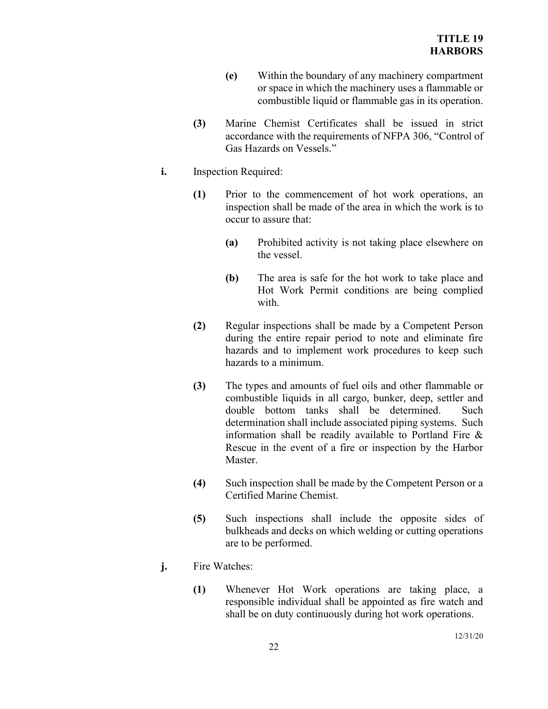- **(e)** Within the boundary of any machinery compartment or space in which the machinery uses a flammable or combustible liquid or flammable gas in its operation.
- **(3)** Marine Chemist Certificates shall be issued in strict accordance with the requirements of NFPA 306, "Control of Gas Hazards on Vessels."
- **i.** Inspection Required:
	- **(1)** Prior to the commencement of hot work operations, an inspection shall be made of the area in which the work is to occur to assure that:
		- **(a)** Prohibited activity is not taking place elsewhere on the vessel.
		- **(b)** The area is safe for the hot work to take place and Hot Work Permit conditions are being complied with.
	- **(2)** Regular inspections shall be made by a Competent Person during the entire repair period to note and eliminate fire hazards and to implement work procedures to keep such hazards to a minimum.
	- **(3)** The types and amounts of fuel oils and other flammable or combustible liquids in all cargo, bunker, deep, settler and double bottom tanks shall be determined. Such determination shall include associated piping systems. Such information shall be readily available to Portland Fire & Rescue in the event of a fire or inspection by the Harbor Master.
	- **(4)** Such inspection shall be made by the Competent Person or a Certified Marine Chemist.
	- **(5)** Such inspections shall include the opposite sides of bulkheads and decks on which welding or cutting operations are to be performed.
- **j.** Fire Watches:
	- **(1)** Whenever Hot Work operations are taking place, a responsible individual shall be appointed as fire watch and shall be on duty continuously during hot work operations.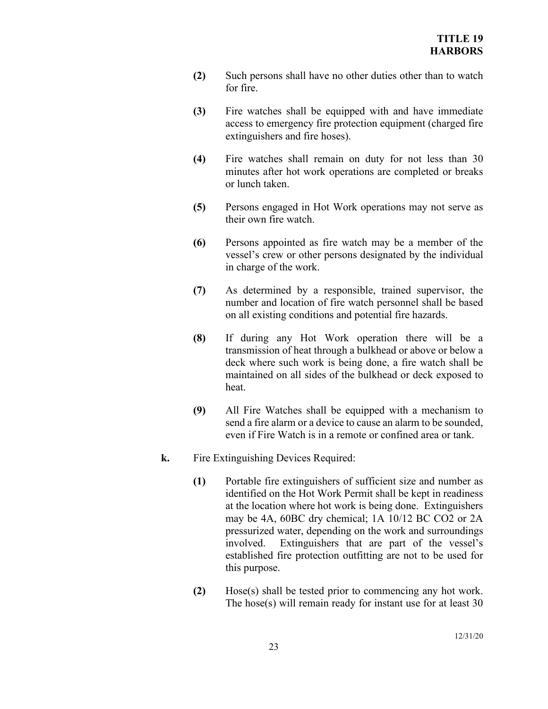- **(2)** Such persons shall have no other duties other than to watch for fire.
- **(3)** Fire watches shall be equipped with and have immediate access to emergency fire protection equipment (charged fire extinguishers and fire hoses).
- **(4)** Fire watches shall remain on duty for not less than 30 minutes after hot work operations are completed or breaks or lunch taken.
- **(5)** Persons engaged in Hot Work operations may not serve as their own fire watch.
- **(6)** Persons appointed as fire watch may be a member of the vessel's crew or other persons designated by the individual in charge of the work.
- **(7)** As determined by a responsible, trained supervisor, the number and location of fire watch personnel shall be based on all existing conditions and potential fire hazards.
- **(8)** If during any Hot Work operation there will be a transmission of heat through a bulkhead or above or below a deck where such work is being done, a fire watch shall be maintained on all sides of the bulkhead or deck exposed to heat.
- **(9)** All Fire Watches shall be equipped with a mechanism to send a fire alarm or a device to cause an alarm to be sounded, even if Fire Watch is in a remote or confined area or tank.
- **k.** Fire Extinguishing Devices Required:
	- **(1)** Portable fire extinguishers of sufficient size and number as identified on the Hot Work Permit shall be kept in readiness at the location where hot work is being done. Extinguishers may be 4A, 60BC dry chemical; 1A 10/12 BC CO2 or 2A pressurized water, depending on the work and surroundings involved. Extinguishers that are part of the vessel's established fire protection outfitting are not to be used for this purpose.
	- **(2)** Hose(s) shall be tested prior to commencing any hot work. The hose(s) will remain ready for instant use for at least 30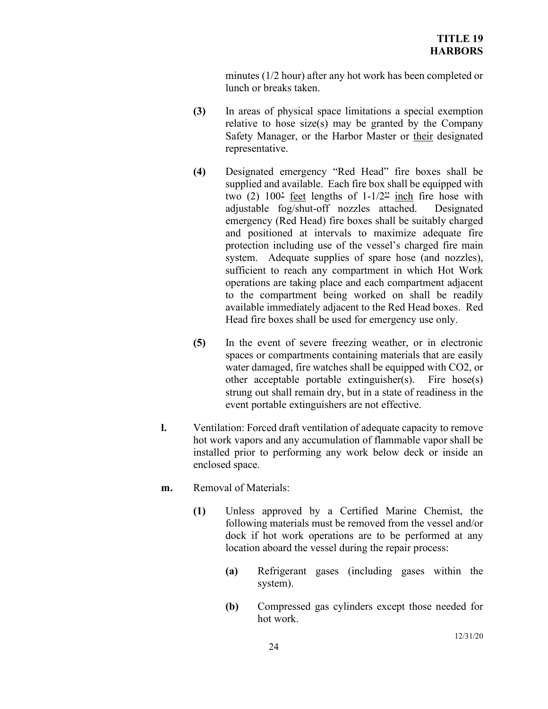minutes (1/2 hour) after any hot work has been completed or lunch or breaks taken.

- **(3)** In areas of physical space limitations a special exemption relative to hose size(s) may be granted by the Company Safety Manager, or the Harbor Master or their designated representative.
- **(4)** Designated emergency "Red Head" fire boxes shall be supplied and available. Each fire box shall be equipped with two  $(2)$  100<sup>2</sup> feet lengths of  $1-1/2$ <sup>22</sup> inch fire hose with adjustable fog/shut-off nozzles attached. Designated emergency (Red Head) fire boxes shall be suitably charged and positioned at intervals to maximize adequate fire protection including use of the vessel's charged fire main system. Adequate supplies of spare hose (and nozzles), sufficient to reach any compartment in which Hot Work operations are taking place and each compartment adjacent to the compartment being worked on shall be readily available immediately adjacent to the Red Head boxes. Red Head fire boxes shall be used for emergency use only.
- **(5)** In the event of severe freezing weather, or in electronic spaces or compartments containing materials that are easily water damaged, fire watches shall be equipped with CO2, or other acceptable portable extinguisher(s). Fire hose(s) strung out shall remain dry, but in a state of readiness in the event portable extinguishers are not effective.
- **l.** Ventilation: Forced draft ventilation of adequate capacity to remove hot work vapors and any accumulation of flammable vapor shall be installed prior to performing any work below deck or inside an enclosed space.
- **m.** Removal of Materials:
	- **(1)** Unless approved by a Certified Marine Chemist, the following materials must be removed from the vessel and/or dock if hot work operations are to be performed at any location aboard the vessel during the repair process:
		- **(a)** Refrigerant gases (including gases within the system).
		- **(b)** Compressed gas cylinders except those needed for hot work.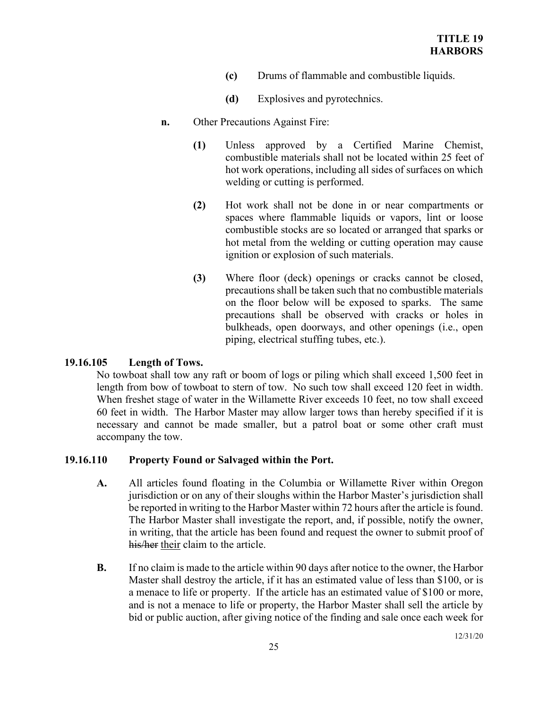- **(c)** Drums of flammable and combustible liquids.
- **(d)** Explosives and pyrotechnics.
- **n.** Other Precautions Against Fire:
	- **(1)** Unless approved by a Certified Marine Chemist, combustible materials shall not be located within 25 feet of hot work operations, including all sides of surfaces on which welding or cutting is performed.
	- **(2)** Hot work shall not be done in or near compartments or spaces where flammable liquids or vapors, lint or loose combustible stocks are so located or arranged that sparks or hot metal from the welding or cutting operation may cause ignition or explosion of such materials.
	- **(3)** Where floor (deck) openings or cracks cannot be closed, precautions shall be taken such that no combustible materials on the floor below will be exposed to sparks. The same precautions shall be observed with cracks or holes in bulkheads, open doorways, and other openings (i.e., open piping, electrical stuffing tubes, etc.).

## **19.16.105 Length of Tows.**

No towboat shall tow any raft or boom of logs or piling which shall exceed 1,500 feet in length from bow of towboat to stern of tow. No such tow shall exceed 120 feet in width. When freshet stage of water in the Willamette River exceeds 10 feet, no tow shall exceed 60 feet in width. The Harbor Master may allow larger tows than hereby specified if it is necessary and cannot be made smaller, but a patrol boat or some other craft must accompany the tow.

# **19.16.110 Property Found or Salvaged within the Port.**

- **A.** All articles found floating in the Columbia or Willamette River within Oregon jurisdiction or on any of their sloughs within the Harbor Master's jurisdiction shall be reported in writing to the Harbor Master within 72 hours after the article is found. The Harbor Master shall investigate the report, and, if possible, notify the owner, in writing, that the article has been found and request the owner to submit proof of his/her their claim to the article.
- **B.** If no claim is made to the article within 90 days after notice to the owner, the Harbor Master shall destroy the article, if it has an estimated value of less than \$100, or is a menace to life or property. If the article has an estimated value of \$100 or more, and is not a menace to life or property, the Harbor Master shall sell the article by bid or public auction, after giving notice of the finding and sale once each week for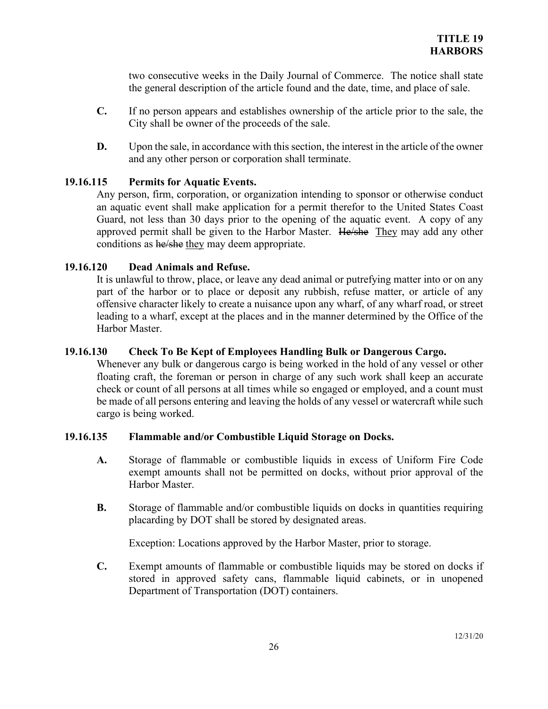two consecutive weeks in the Daily Journal of Commerce. The notice shall state the general description of the article found and the date, time, and place of sale.

- **C.** If no person appears and establishes ownership of the article prior to the sale, the City shall be owner of the proceeds of the sale.
- **D.** Upon the sale, in accordance with this section, the interest in the article of the owner and any other person or corporation shall terminate.

# **19.16.115 Permits for Aquatic Events.**

Any person, firm, corporation, or organization intending to sponsor or otherwise conduct an aquatic event shall make application for a permit therefor to the United States Coast Guard, not less than 30 days prior to the opening of the aquatic event. A copy of any approved permit shall be given to the Harbor Master. He/she They may add any other conditions as he/she they may deem appropriate.

## **19.16.120 Dead Animals and Refuse.**

It is unlawful to throw, place, or leave any dead animal or putrefying matter into or on any part of the harbor or to place or deposit any rubbish, refuse matter, or article of any offensive character likely to create a nuisance upon any wharf, of any wharf road, or street leading to a wharf, except at the places and in the manner determined by the Office of the Harbor Master.

## **19.16.130 Check To Be Kept of Employees Handling Bulk or Dangerous Cargo.**

Whenever any bulk or dangerous cargo is being worked in the hold of any vessel or other floating craft, the foreman or person in charge of any such work shall keep an accurate check or count of all persons at all times while so engaged or employed, and a count must be made of all persons entering and leaving the holds of any vessel or watercraft while such cargo is being worked.

## **19.16.135 Flammable and/or Combustible Liquid Storage on Docks.**

- **A.** Storage of flammable or combustible liquids in excess of Uniform Fire Code exempt amounts shall not be permitted on docks, without prior approval of the Harbor Master.
- **B.** Storage of flammable and/or combustible liquids on docks in quantities requiring placarding by DOT shall be stored by designated areas.

Exception: Locations approved by the Harbor Master, prior to storage.

**C.** Exempt amounts of flammable or combustible liquids may be stored on docks if stored in approved safety cans, flammable liquid cabinets, or in unopened Department of Transportation (DOT) containers.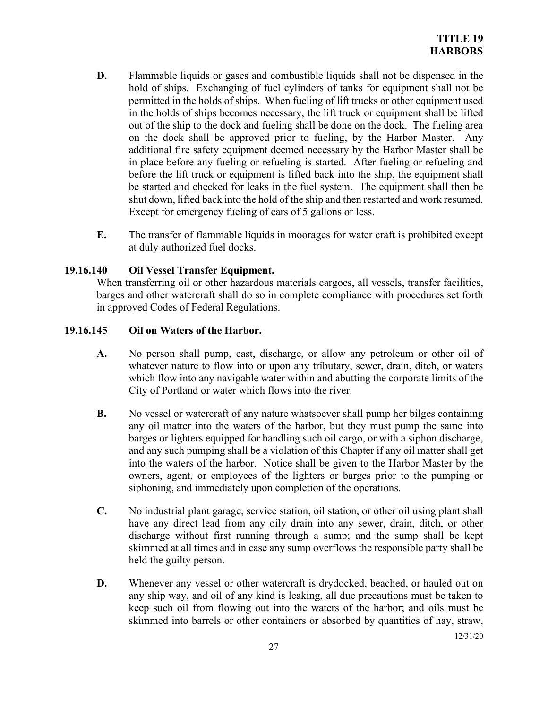- **D.** Flammable liquids or gases and combustible liquids shall not be dispensed in the hold of ships. Exchanging of fuel cylinders of tanks for equipment shall not be permitted in the holds of ships. When fueling of lift trucks or other equipment used in the holds of ships becomes necessary, the lift truck or equipment shall be lifted out of the ship to the dock and fueling shall be done on the dock. The fueling area on the dock shall be approved prior to fueling, by the Harbor Master. Any additional fire safety equipment deemed necessary by the Harbor Master shall be in place before any fueling or refueling is started. After fueling or refueling and before the lift truck or equipment is lifted back into the ship, the equipment shall be started and checked for leaks in the fuel system. The equipment shall then be shut down, lifted back into the hold of the ship and then restarted and work resumed. Except for emergency fueling of cars of 5 gallons or less.
- **E.** The transfer of flammable liquids in moorages for water craft is prohibited except at duly authorized fuel docks.

# **19.16.140 Oil Vessel Transfer Equipment.**

When transferring oil or other hazardous materials cargoes, all vessels, transfer facilities, barges and other watercraft shall do so in complete compliance with procedures set forth in approved Codes of Federal Regulations.

## **19.16.145 Oil on Waters of the Harbor.**

- **A.** No person shall pump, cast, discharge, or allow any petroleum or other oil of whatever nature to flow into or upon any tributary, sewer, drain, ditch, or waters which flow into any navigable water within and abutting the corporate limits of the City of Portland or water which flows into the river.
- **B.** No vessel or watercraft of any nature whatsoever shall pump her bilges containing any oil matter into the waters of the harbor, but they must pump the same into barges or lighters equipped for handling such oil cargo, or with a siphon discharge, and any such pumping shall be a violation of this Chapter if any oil matter shall get into the waters of the harbor. Notice shall be given to the Harbor Master by the owners, agent, or employees of the lighters or barges prior to the pumping or siphoning, and immediately upon completion of the operations.
- **C.** No industrial plant garage, service station, oil station, or other oil using plant shall have any direct lead from any oily drain into any sewer, drain, ditch, or other discharge without first running through a sump; and the sump shall be kept skimmed at all times and in case any sump overflows the responsible party shall be held the guilty person.
- **D.** Whenever any vessel or other watercraft is drydocked, beached, or hauled out on any ship way, and oil of any kind is leaking, all due precautions must be taken to keep such oil from flowing out into the waters of the harbor; and oils must be skimmed into barrels or other containers or absorbed by quantities of hay, straw,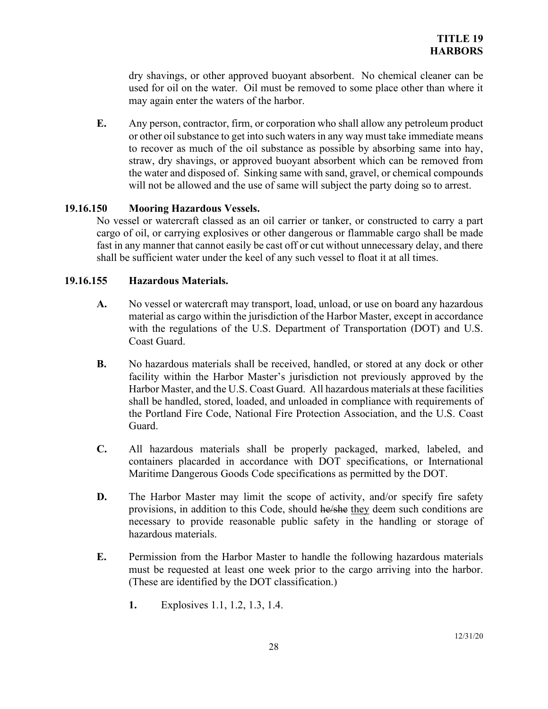dry shavings, or other approved buoyant absorbent. No chemical cleaner can be used for oil on the water. Oil must be removed to some place other than where it may again enter the waters of the harbor.

**E.** Any person, contractor, firm, or corporation who shall allow any petroleum product or other oil substance to get into such waters in any way must take immediate means to recover as much of the oil substance as possible by absorbing same into hay, straw, dry shavings, or approved buoyant absorbent which can be removed from the water and disposed of. Sinking same with sand, gravel, or chemical compounds will not be allowed and the use of same will subject the party doing so to arrest.

## **19.16.150 Mooring Hazardous Vessels.**

No vessel or watercraft classed as an oil carrier or tanker, or constructed to carry a part cargo of oil, or carrying explosives or other dangerous or flammable cargo shall be made fast in any manner that cannot easily be cast off or cut without unnecessary delay, and there shall be sufficient water under the keel of any such vessel to float it at all times.

## **19.16.155 Hazardous Materials.**

- **A.** No vessel or watercraft may transport, load, unload, or use on board any hazardous material as cargo within the jurisdiction of the Harbor Master, except in accordance with the regulations of the U.S. Department of Transportation (DOT) and U.S. Coast Guard.
- **B.** No hazardous materials shall be received, handled, or stored at any dock or other facility within the Harbor Master's jurisdiction not previously approved by the Harbor Master, and the U.S. Coast Guard. All hazardous materials at these facilities shall be handled, stored, loaded, and unloaded in compliance with requirements of the Portland Fire Code, National Fire Protection Association, and the U.S. Coast Guard.
- **C.** All hazardous materials shall be properly packaged, marked, labeled, and containers placarded in accordance with DOT specifications, or International Maritime Dangerous Goods Code specifications as permitted by the DOT.
- **D.** The Harbor Master may limit the scope of activity, and/or specify fire safety provisions, in addition to this Code, should he/she they deem such conditions are necessary to provide reasonable public safety in the handling or storage of hazardous materials.
- **E.** Permission from the Harbor Master to handle the following hazardous materials must be requested at least one week prior to the cargo arriving into the harbor. (These are identified by the DOT classification.)
	- **1.** Explosives 1.1, 1.2, 1.3, 1.4.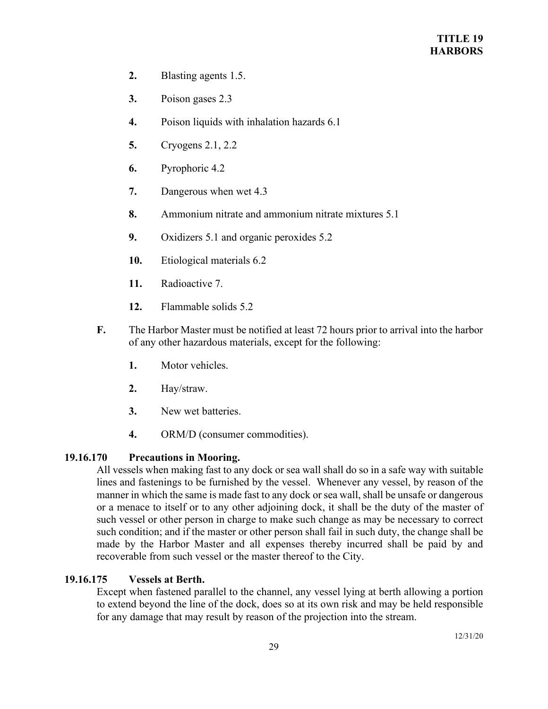- **2.** Blasting agents 1.5.
- **3.** Poison gases 2.3
- **4.** Poison liquids with inhalation hazards 6.1
- **5.** Cryogens 2.1, 2.2
- **6.** Pyrophoric 4.2
- **7.** Dangerous when wet 4.3
- **8.** Ammonium nitrate and ammonium nitrate mixtures 5.1
- **9.** Oxidizers 5.1 and organic peroxides 5.2
- **10.** Etiological materials 6.2
- **11.** Radioactive 7.
- **12.** Flammable solids 5.2
- **F.** The Harbor Master must be notified at least 72 hours prior to arrival into the harbor of any other hazardous materials, except for the following:
	- **1.** Motor vehicles.
	- **2.** Hay/straw.
	- **3.** New wet batteries.
	- **4.** ORM/D (consumer commodities).

# **19.16.170 Precautions in Mooring.**

All vessels when making fast to any dock or sea wall shall do so in a safe way with suitable lines and fastenings to be furnished by the vessel. Whenever any vessel, by reason of the manner in which the same is made fast to any dock or sea wall, shall be unsafe or dangerous or a menace to itself or to any other adjoining dock, it shall be the duty of the master of such vessel or other person in charge to make such change as may be necessary to correct such condition; and if the master or other person shall fail in such duty, the change shall be made by the Harbor Master and all expenses thereby incurred shall be paid by and recoverable from such vessel or the master thereof to the City.

# **19.16.175 Vessels at Berth.**

Except when fastened parallel to the channel, any vessel lying at berth allowing a portion to extend beyond the line of the dock, does so at its own risk and may be held responsible for any damage that may result by reason of the projection into the stream.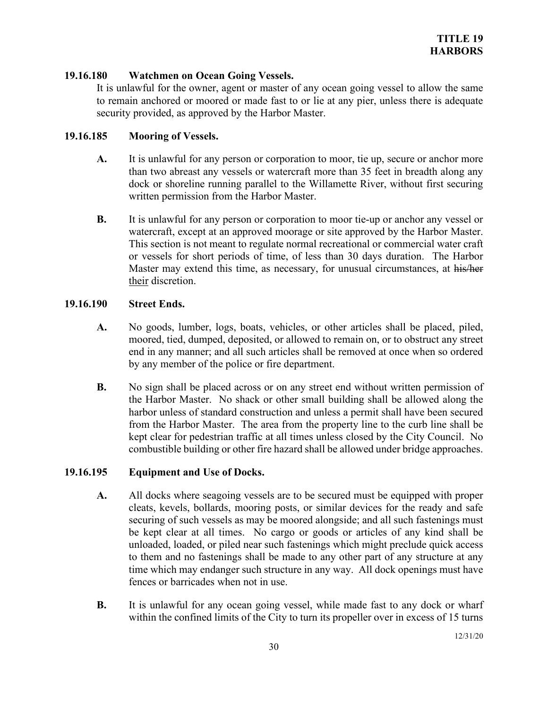## **19.16.180 Watchmen on Ocean Going Vessels.**

It is unlawful for the owner, agent or master of any ocean going vessel to allow the same to remain anchored or moored or made fast to or lie at any pier, unless there is adequate security provided, as approved by the Harbor Master.

#### **19.16.185 Mooring of Vessels.**

- **A.** It is unlawful for any person or corporation to moor, tie up, secure or anchor more than two abreast any vessels or watercraft more than 35 feet in breadth along any dock or shoreline running parallel to the Willamette River, without first securing written permission from the Harbor Master.
- **B.** It is unlawful for any person or corporation to moor tie-up or anchor any vessel or watercraft, except at an approved moorage or site approved by the Harbor Master. This section is not meant to regulate normal recreational or commercial water craft or vessels for short periods of time, of less than 30 days duration. The Harbor Master may extend this time, as necessary, for unusual circumstances, at his/her their discretion.

#### **19.16.190 Street Ends.**

- **A.** No goods, lumber, logs, boats, vehicles, or other articles shall be placed, piled, moored, tied, dumped, deposited, or allowed to remain on, or to obstruct any street end in any manner; and all such articles shall be removed at once when so ordered by any member of the police or fire department.
- **B.** No sign shall be placed across or on any street end without written permission of the Harbor Master. No shack or other small building shall be allowed along the harbor unless of standard construction and unless a permit shall have been secured from the Harbor Master. The area from the property line to the curb line shall be kept clear for pedestrian traffic at all times unless closed by the City Council. No combustible building or other fire hazard shall be allowed under bridge approaches.

## **19.16.195 Equipment and Use of Docks.**

- **A.** All docks where seagoing vessels are to be secured must be equipped with proper cleats, kevels, bollards, mooring posts, or similar devices for the ready and safe securing of such vessels as may be moored alongside; and all such fastenings must be kept clear at all times. No cargo or goods or articles of any kind shall be unloaded, loaded, or piled near such fastenings which might preclude quick access to them and no fastenings shall be made to any other part of any structure at any time which may endanger such structure in any way. All dock openings must have fences or barricades when not in use.
- **B.** It is unlawful for any ocean going vessel, while made fast to any dock or wharf within the confined limits of the City to turn its propeller over in excess of 15 turns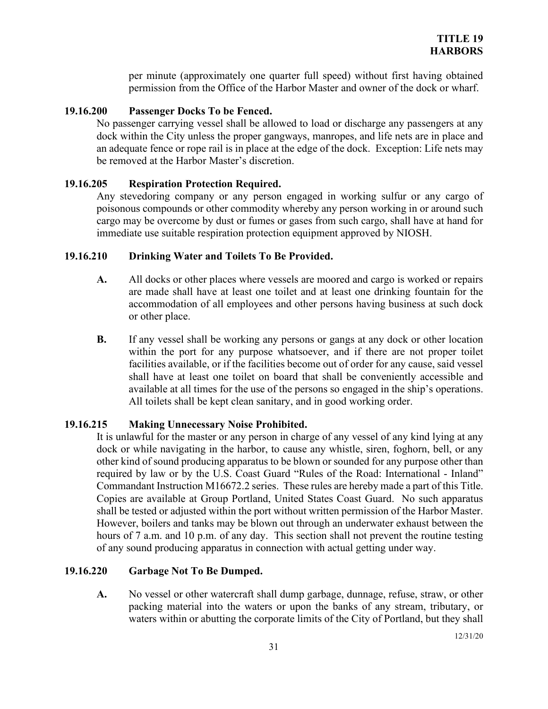per minute (approximately one quarter full speed) without first having obtained permission from the Office of the Harbor Master and owner of the dock or wharf.

## **19.16.200 Passenger Docks To be Fenced.**

No passenger carrying vessel shall be allowed to load or discharge any passengers at any dock within the City unless the proper gangways, manropes, and life nets are in place and an adequate fence or rope rail is in place at the edge of the dock. Exception: Life nets may be removed at the Harbor Master's discretion.

## **19.16.205 Respiration Protection Required.**

Any stevedoring company or any person engaged in working sulfur or any cargo of poisonous compounds or other commodity whereby any person working in or around such cargo may be overcome by dust or fumes or gases from such cargo, shall have at hand for immediate use suitable respiration protection equipment approved by NIOSH.

## **19.16.210 Drinking Water and Toilets To Be Provided.**

- **A.** All docks or other places where vessels are moored and cargo is worked or repairs are made shall have at least one toilet and at least one drinking fountain for the accommodation of all employees and other persons having business at such dock or other place.
- **B.** If any vessel shall be working any persons or gangs at any dock or other location within the port for any purpose whatsoever, and if there are not proper toilet facilities available, or if the facilities become out of order for any cause, said vessel shall have at least one toilet on board that shall be conveniently accessible and available at all times for the use of the persons so engaged in the ship's operations. All toilets shall be kept clean sanitary, and in good working order.

## **19.16.215 Making Unnecessary Noise Prohibited.**

It is unlawful for the master or any person in charge of any vessel of any kind lying at any dock or while navigating in the harbor, to cause any whistle, siren, foghorn, bell, or any other kind of sound producing apparatus to be blown or sounded for any purpose other than required by law or by the U.S. Coast Guard "Rules of the Road: International - Inland" Commandant Instruction M16672.2 series. These rules are hereby made a part of this Title. Copies are available at Group Portland, United States Coast Guard. No such apparatus shall be tested or adjusted within the port without written permission of the Harbor Master. However, boilers and tanks may be blown out through an underwater exhaust between the hours of 7 a.m. and 10 p.m. of any day. This section shall not prevent the routine testing of any sound producing apparatus in connection with actual getting under way.

## **19.16.220 Garbage Not To Be Dumped.**

**A.** No vessel or other watercraft shall dump garbage, dunnage, refuse, straw, or other packing material into the waters or upon the banks of any stream, tributary, or waters within or abutting the corporate limits of the City of Portland, but they shall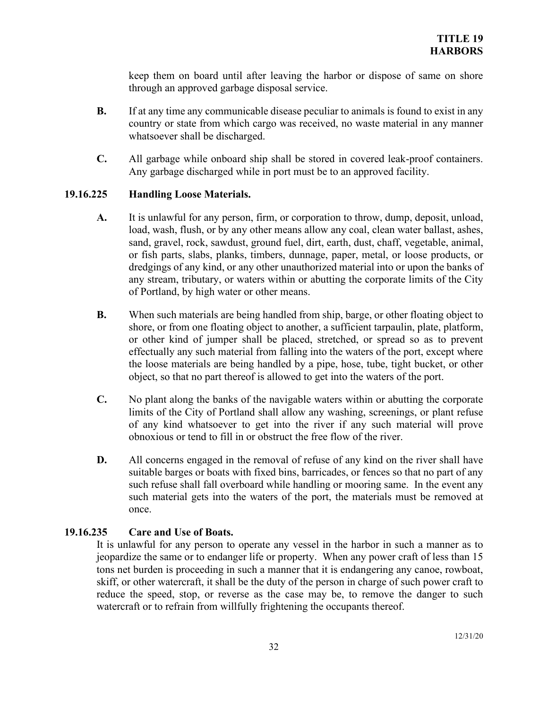keep them on board until after leaving the harbor or dispose of same on shore through an approved garbage disposal service.

- **B.** If at any time any communicable disease peculiar to animals is found to exist in any country or state from which cargo was received, no waste material in any manner whatsoever shall be discharged.
- **C.** All garbage while onboard ship shall be stored in covered leak-proof containers. Any garbage discharged while in port must be to an approved facility.

## **19.16.225 Handling Loose Materials.**

- **A.** It is unlawful for any person, firm, or corporation to throw, dump, deposit, unload, load, wash, flush, or by any other means allow any coal, clean water ballast, ashes, sand, gravel, rock, sawdust, ground fuel, dirt, earth, dust, chaff, vegetable, animal, or fish parts, slabs, planks, timbers, dunnage, paper, metal, or loose products, or dredgings of any kind, or any other unauthorized material into or upon the banks of any stream, tributary, or waters within or abutting the corporate limits of the City of Portland, by high water or other means.
- **B.** When such materials are being handled from ship, barge, or other floating object to shore, or from one floating object to another, a sufficient tarpaulin, plate, platform, or other kind of jumper shall be placed, stretched, or spread so as to prevent effectually any such material from falling into the waters of the port, except where the loose materials are being handled by a pipe, hose, tube, tight bucket, or other object, so that no part thereof is allowed to get into the waters of the port.
- **C.** No plant along the banks of the navigable waters within or abutting the corporate limits of the City of Portland shall allow any washing, screenings, or plant refuse of any kind whatsoever to get into the river if any such material will prove obnoxious or tend to fill in or obstruct the free flow of the river.
- **D.** All concerns engaged in the removal of refuse of any kind on the river shall have suitable barges or boats with fixed bins, barricades, or fences so that no part of any such refuse shall fall overboard while handling or mooring same. In the event any such material gets into the waters of the port, the materials must be removed at once.

# **19.16.235 Care and Use of Boats.**

It is unlawful for any person to operate any vessel in the harbor in such a manner as to jeopardize the same or to endanger life or property. When any power craft of less than 15 tons net burden is proceeding in such a manner that it is endangering any canoe, rowboat, skiff, or other watercraft, it shall be the duty of the person in charge of such power craft to reduce the speed, stop, or reverse as the case may be, to remove the danger to such watercraft or to refrain from willfully frightening the occupants thereof.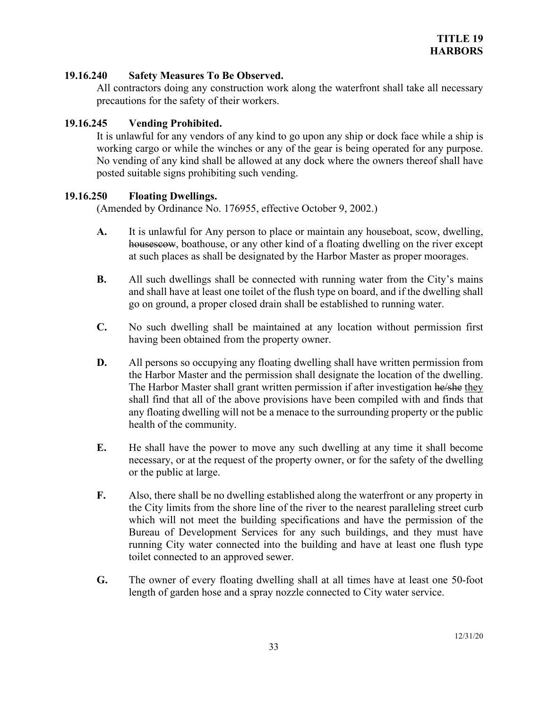## **19.16.240 Safety Measures To Be Observed.**

All contractors doing any construction work along the waterfront shall take all necessary precautions for the safety of their workers.

# **19.16.245 Vending Prohibited.**

It is unlawful for any vendors of any kind to go upon any ship or dock face while a ship is working cargo or while the winches or any of the gear is being operated for any purpose. No vending of any kind shall be allowed at any dock where the owners thereof shall have posted suitable signs prohibiting such vending.

## **19.16.250 Floating Dwellings.**

(Amended by Ordinance No. 176955, effective October 9, 2002.)

- **A.** It is unlawful for Any person to place or maintain any houseboat, scow, dwelling, housescow, boathouse, or any other kind of a floating dwelling on the river except at such places as shall be designated by the Harbor Master as proper moorages.
- **B.** All such dwellings shall be connected with running water from the City's mains and shall have at least one toilet of the flush type on board, and if the dwelling shall go on ground, a proper closed drain shall be established to running water.
- **C.** No such dwelling shall be maintained at any location without permission first having been obtained from the property owner.
- **D.** All persons so occupying any floating dwelling shall have written permission from the Harbor Master and the permission shall designate the location of the dwelling. The Harbor Master shall grant written permission if after investigation he/she they shall find that all of the above provisions have been compiled with and finds that any floating dwelling will not be a menace to the surrounding property or the public health of the community.
- **E.** He shall have the power to move any such dwelling at any time it shall become necessary, or at the request of the property owner, or for the safety of the dwelling or the public at large.
- **F.** Also, there shall be no dwelling established along the waterfront or any property in the City limits from the shore line of the river to the nearest paralleling street curb which will not meet the building specifications and have the permission of the Bureau of Development Services for any such buildings, and they must have running City water connected into the building and have at least one flush type toilet connected to an approved sewer.
- **G.** The owner of every floating dwelling shall at all times have at least one 50-foot length of garden hose and a spray nozzle connected to City water service.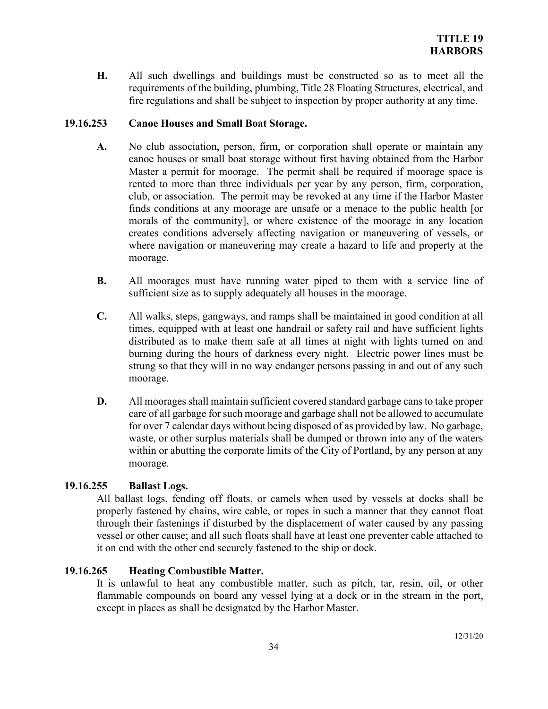**H.** All such dwellings and buildings must be constructed so as to meet all the requirements of the building, plumbing, Title 28 Floating Structures, electrical, and fire regulations and shall be subject to inspection by proper authority at any time.

## **19.16.253 Canoe Houses and Small Boat Storage.**

- **A.** No club association, person, firm, or corporation shall operate or maintain any canoe houses or small boat storage without first having obtained from the Harbor Master a permit for moorage. The permit shall be required if moorage space is rented to more than three individuals per year by any person, firm, corporation, club, or association. The permit may be revoked at any time if the Harbor Master finds conditions at any moorage are unsafe or a menace to the public health [or morals of the community], or where existence of the moorage in any location creates conditions adversely affecting navigation or maneuvering of vessels, or where navigation or maneuvering may create a hazard to life and property at the moorage.
- **B.** All moorages must have running water piped to them with a service line of sufficient size as to supply adequately all houses in the moorage.
- **C.** All walks, steps, gangways, and ramps shall be maintained in good condition at all times, equipped with at least one handrail or safety rail and have sufficient lights distributed as to make them safe at all times at night with lights turned on and burning during the hours of darkness every night. Electric power lines must be strung so that they will in no way endanger persons passing in and out of any such moorage.
- **D.** All moorages shall maintain sufficient covered standard garbage cans to take proper care of all garbage for such moorage and garbage shall not be allowed to accumulate for over 7 calendar days without being disposed of as provided by law. No garbage, waste, or other surplus materials shall be dumped or thrown into any of the waters within or abutting the corporate limits of the City of Portland, by any person at any moorage.

# **19.16.255 Ballast Logs.**

All ballast logs, fending off floats, or camels when used by vessels at docks shall be properly fastened by chains, wire cable, or ropes in such a manner that they cannot float through their fastenings if disturbed by the displacement of water caused by any passing vessel or other cause; and all such floats shall have at least one preventer cable attached to it on end with the other end securely fastened to the ship or dock.

# **19.16.265 Heating Combustible Matter.**

It is unlawful to heat any combustible matter, such as pitch, tar, resin, oil, or other flammable compounds on board any vessel lying at a dock or in the stream in the port, except in places as shall be designated by the Harbor Master.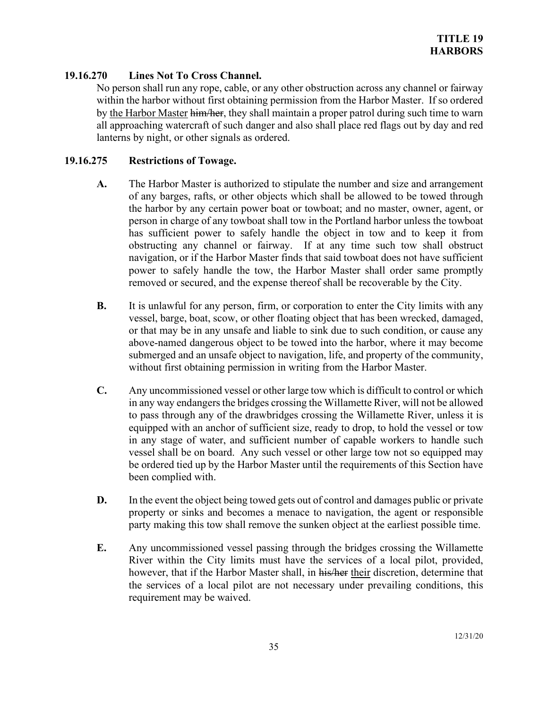# **19.16.270 Lines Not To Cross Channel.**

No person shall run any rope, cable, or any other obstruction across any channel or fairway within the harbor without first obtaining permission from the Harbor Master. If so ordered by the Harbor Master him/her, they shall maintain a proper patrol during such time to warn all approaching watercraft of such danger and also shall place red flags out by day and red lanterns by night, or other signals as ordered.

## **19.16.275 Restrictions of Towage.**

- **A.** The Harbor Master is authorized to stipulate the number and size and arrangement of any barges, rafts, or other objects which shall be allowed to be towed through the harbor by any certain power boat or towboat; and no master, owner, agent, or person in charge of any towboat shall tow in the Portland harbor unless the towboat has sufficient power to safely handle the object in tow and to keep it from obstructing any channel or fairway. If at any time such tow shall obstruct navigation, or if the Harbor Master finds that said towboat does not have sufficient power to safely handle the tow, the Harbor Master shall order same promptly removed or secured, and the expense thereof shall be recoverable by the City.
- **B.** It is unlawful for any person, firm, or corporation to enter the City limits with any vessel, barge, boat, scow, or other floating object that has been wrecked, damaged, or that may be in any unsafe and liable to sink due to such condition, or cause any above-named dangerous object to be towed into the harbor, where it may become submerged and an unsafe object to navigation, life, and property of the community, without first obtaining permission in writing from the Harbor Master.
- **C.** Any uncommissioned vessel or other large tow which is difficult to control or which in any way endangers the bridges crossing the Willamette River, will not be allowed to pass through any of the drawbridges crossing the Willamette River, unless it is equipped with an anchor of sufficient size, ready to drop, to hold the vessel or tow in any stage of water, and sufficient number of capable workers to handle such vessel shall be on board. Any such vessel or other large tow not so equipped may be ordered tied up by the Harbor Master until the requirements of this Section have been complied with.
- **D.** In the event the object being towed gets out of control and damages public or private property or sinks and becomes a menace to navigation, the agent or responsible party making this tow shall remove the sunken object at the earliest possible time.
- **E.** Any uncommissioned vessel passing through the bridges crossing the Willamette River within the City limits must have the services of a local pilot, provided, however, that if the Harbor Master shall, in his/her their discretion, determine that the services of a local pilot are not necessary under prevailing conditions, this requirement may be waived.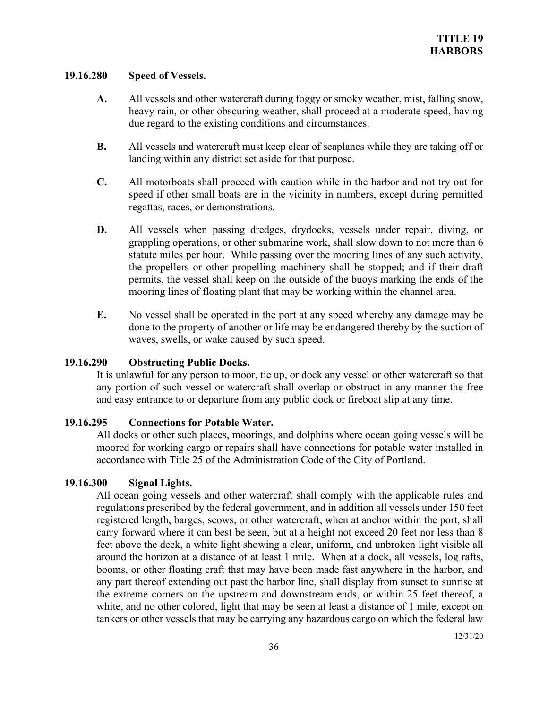#### **19.16.280 Speed of Vessels.**

- **A.** All vessels and other watercraft during foggy or smoky weather, mist, falling snow, heavy rain, or other obscuring weather, shall proceed at a moderate speed, having due regard to the existing conditions and circumstances.
- **B.** All vessels and watercraft must keep clear of seaplanes while they are taking off or landing within any district set aside for that purpose.
- **C.** All motorboats shall proceed with caution while in the harbor and not try out for speed if other small boats are in the vicinity in numbers, except during permitted regattas, races, or demonstrations.
- **D.** All vessels when passing dredges, drydocks, vessels under repair, diving, or grappling operations, or other submarine work, shall slow down to not more than 6 statute miles per hour. While passing over the mooring lines of any such activity, the propellers or other propelling machinery shall be stopped; and if their draft permits, the vessel shall keep on the outside of the buoys marking the ends of the mooring lines of floating plant that may be working within the channel area.
- **E.** No vessel shall be operated in the port at any speed whereby any damage may be done to the property of another or life may be endangered thereby by the suction of waves, swells, or wake caused by such speed.

## **19.16.290 Obstructing Public Docks.**

It is unlawful for any person to moor, tie up, or dock any vessel or other watercraft so that any portion of such vessel or watercraft shall overlap or obstruct in any manner the free and easy entrance to or departure from any public dock or fireboat slip at any time.

#### **19.16.295 Connections for Potable Water.**

All docks or other such places, moorings, and dolphins where ocean going vessels will be moored for working cargo or repairs shall have connections for potable water installed in accordance with Title 25 of the Administration Code of the City of Portland.

#### **19.16.300 Signal Lights.**

All ocean going vessels and other watercraft shall comply with the applicable rules and regulations prescribed by the federal government, and in addition all vessels under 150 feet registered length, barges, scows, or other watercraft, when at anchor within the port, shall carry forward where it can best be seen, but at a height not exceed 20 feet nor less than 8 feet above the deck, a white light showing a clear, uniform, and unbroken light visible all around the horizon at a distance of at least 1 mile. When at a dock, all vessels, log rafts, booms, or other floating craft that may have been made fast anywhere in the harbor, and any part thereof extending out past the harbor line, shall display from sunset to sunrise at the extreme corners on the upstream and downstream ends, or within 25 feet thereof, a white, and no other colored, light that may be seen at least a distance of 1 mile, except on tankers or other vessels that may be carrying any hazardous cargo on which the federal law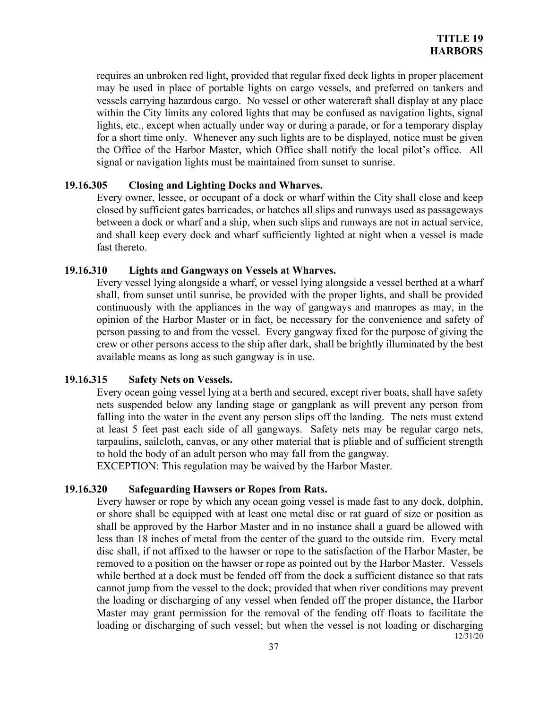requires an unbroken red light, provided that regular fixed deck lights in proper placement may be used in place of portable lights on cargo vessels, and preferred on tankers and vessels carrying hazardous cargo. No vessel or other watercraft shall display at any place within the City limits any colored lights that may be confused as navigation lights, signal lights, etc., except when actually under way or during a parade, or for a temporary display for a short time only. Whenever any such lights are to be displayed, notice must be given the Office of the Harbor Master, which Office shall notify the local pilot's office. All signal or navigation lights must be maintained from sunset to sunrise.

#### **19.16.305 Closing and Lighting Docks and Wharves.**

Every owner, lessee, or occupant of a dock or wharf within the City shall close and keep closed by sufficient gates barricades, or hatches all slips and runways used as passageways between a dock or wharf and a ship, when such slips and runways are not in actual service, and shall keep every dock and wharf sufficiently lighted at night when a vessel is made fast thereto.

#### **19.16.310 Lights and Gangways on Vessels at Wharves.**

Every vessel lying alongside a wharf, or vessel lying alongside a vessel berthed at a wharf shall, from sunset until sunrise, be provided with the proper lights, and shall be provided continuously with the appliances in the way of gangways and manropes as may, in the opinion of the Harbor Master or in fact, be necessary for the convenience and safety of person passing to and from the vessel. Every gangway fixed for the purpose of giving the crew or other persons access to the ship after dark, shall be brightly illuminated by the best available means as long as such gangway is in use.

#### **19.16.315 Safety Nets on Vessels.**

Every ocean going vessel lying at a berth and secured, except river boats, shall have safety nets suspended below any landing stage or gangplank as will prevent any person from falling into the water in the event any person slips off the landing. The nets must extend at least 5 feet past each side of all gangways. Safety nets may be regular cargo nets, tarpaulins, sailcloth, canvas, or any other material that is pliable and of sufficient strength to hold the body of an adult person who may fall from the gangway.

EXCEPTION: This regulation may be waived by the Harbor Master.

#### **19.16.320 Safeguarding Hawsers or Ropes from Rats.**

12/31/20 Every hawser or rope by which any ocean going vessel is made fast to any dock, dolphin, or shore shall be equipped with at least one metal disc or rat guard of size or position as shall be approved by the Harbor Master and in no instance shall a guard be allowed with less than 18 inches of metal from the center of the guard to the outside rim. Every metal disc shall, if not affixed to the hawser or rope to the satisfaction of the Harbor Master, be removed to a position on the hawser or rope as pointed out by the Harbor Master. Vessels while berthed at a dock must be fended off from the dock a sufficient distance so that rats cannot jump from the vessel to the dock; provided that when river conditions may prevent the loading or discharging of any vessel when fended off the proper distance, the Harbor Master may grant permission for the removal of the fending off floats to facilitate the loading or discharging of such vessel; but when the vessel is not loading or discharging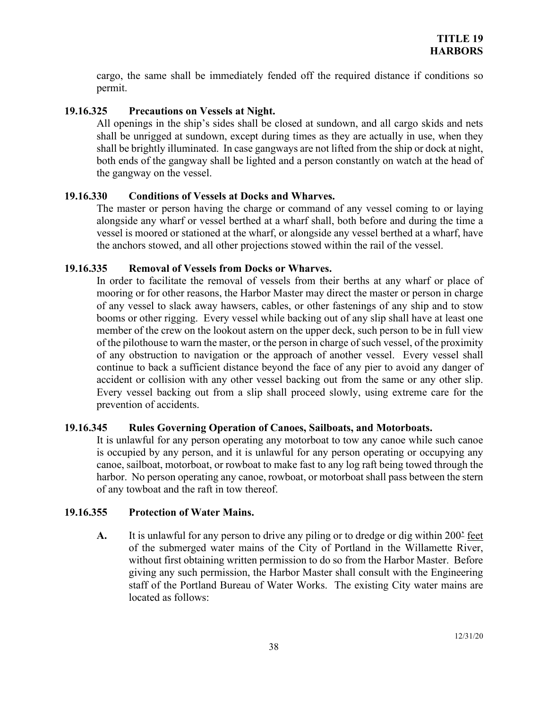cargo, the same shall be immediately fended off the required distance if conditions so permit.

# **19.16.325 Precautions on Vessels at Night.**

All openings in the ship's sides shall be closed at sundown, and all cargo skids and nets shall be unrigged at sundown, except during times as they are actually in use, when they shall be brightly illuminated. In case gangways are not lifted from the ship or dock at night, both ends of the gangway shall be lighted and a person constantly on watch at the head of the gangway on the vessel.

## **19.16.330 Conditions of Vessels at Docks and Wharves.**

The master or person having the charge or command of any vessel coming to or laying alongside any wharf or vessel berthed at a wharf shall, both before and during the time a vessel is moored or stationed at the wharf, or alongside any vessel berthed at a wharf, have the anchors stowed, and all other projections stowed within the rail of the vessel.

## **19.16.335 Removal of Vessels from Docks or Wharves.**

In order to facilitate the removal of vessels from their berths at any wharf or place of mooring or for other reasons, the Harbor Master may direct the master or person in charge of any vessel to slack away hawsers, cables, or other fastenings of any ship and to stow booms or other rigging. Every vessel while backing out of any slip shall have at least one member of the crew on the lookout astern on the upper deck, such person to be in full view of the pilothouse to warn the master, or the person in charge of such vessel, of the proximity of any obstruction to navigation or the approach of another vessel. Every vessel shall continue to back a sufficient distance beyond the face of any pier to avoid any danger of accident or collision with any other vessel backing out from the same or any other slip. Every vessel backing out from a slip shall proceed slowly, using extreme care for the prevention of accidents.

## **19.16.345 Rules Governing Operation of Canoes, Sailboats, and Motorboats.**

It is unlawful for any person operating any motorboat to tow any canoe while such canoe is occupied by any person, and it is unlawful for any person operating or occupying any canoe, sailboat, motorboat, or rowboat to make fast to any log raft being towed through the harbor. No person operating any canoe, rowboat, or motorboat shall pass between the stern of any towboat and the raft in tow thereof.

## **19.16.355 Protection of Water Mains.**

**A.** It is unlawful for any person to drive any piling or to dredge or dig within 200' feet of the submerged water mains of the City of Portland in the Willamette River, without first obtaining written permission to do so from the Harbor Master. Before giving any such permission, the Harbor Master shall consult with the Engineering staff of the Portland Bureau of Water Works. The existing City water mains are located as follows: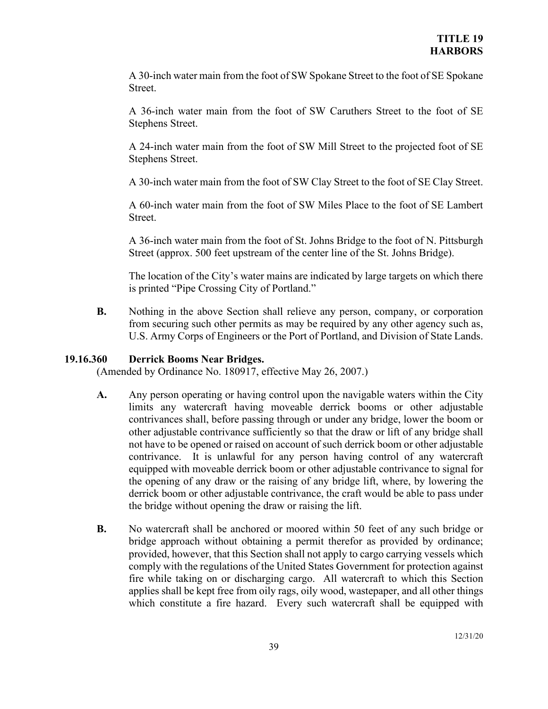A 30-inch water main from the foot of SW Spokane Street to the foot of SE Spokane Street.

A 36-inch water main from the foot of SW Caruthers Street to the foot of SE Stephens Street.

A 24-inch water main from the foot of SW Mill Street to the projected foot of SE Stephens Street.

A 30-inch water main from the foot of SW Clay Street to the foot of SE Clay Street.

A 60-inch water main from the foot of SW Miles Place to the foot of SE Lambert Street.

A 36-inch water main from the foot of St. Johns Bridge to the foot of N. Pittsburgh Street (approx. 500 feet upstream of the center line of the St. Johns Bridge).

The location of the City's water mains are indicated by large targets on which there is printed "Pipe Crossing City of Portland."

**B.** Nothing in the above Section shall relieve any person, company, or corporation from securing such other permits as may be required by any other agency such as, U.S. Army Corps of Engineers or the Port of Portland, and Division of State Lands.

# **19.16.360 Derrick Booms Near Bridges.**

(Amended by Ordinance No. 180917, effective May 26, 2007.)

- **A.** Any person operating or having control upon the navigable waters within the City limits any watercraft having moveable derrick booms or other adjustable contrivances shall, before passing through or under any bridge, lower the boom or other adjustable contrivance sufficiently so that the draw or lift of any bridge shall not have to be opened or raised on account of such derrick boom or other adjustable contrivance. It is unlawful for any person having control of any watercraft equipped with moveable derrick boom or other adjustable contrivance to signal for the opening of any draw or the raising of any bridge lift, where, by lowering the derrick boom or other adjustable contrivance, the craft would be able to pass under the bridge without opening the draw or raising the lift.
- **B.** No watercraft shall be anchored or moored within 50 feet of any such bridge or bridge approach without obtaining a permit therefor as provided by ordinance; provided, however, that this Section shall not apply to cargo carrying vessels which comply with the regulations of the United States Government for protection against fire while taking on or discharging cargo. All watercraft to which this Section applies shall be kept free from oily rags, oily wood, wastepaper, and all other things which constitute a fire hazard. Every such watercraft shall be equipped with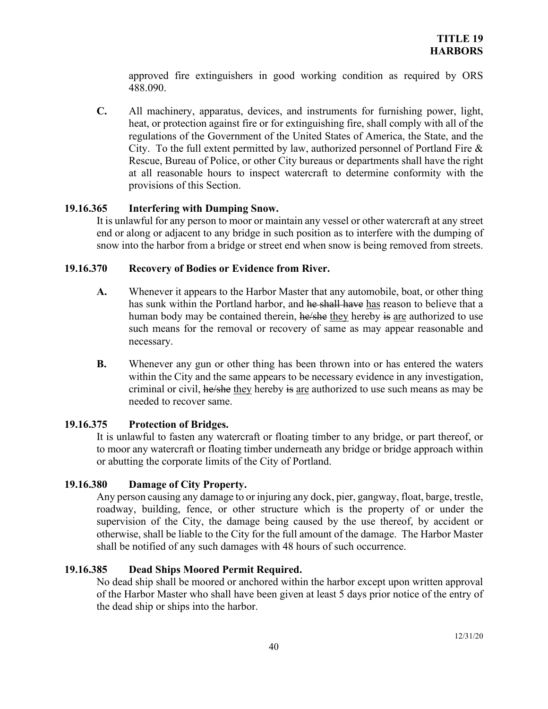approved fire extinguishers in good working condition as required by ORS 488.090.

**C.** All machinery, apparatus, devices, and instruments for furnishing power, light, heat, or protection against fire or for extinguishing fire, shall comply with all of the regulations of the Government of the United States of America, the State, and the City. To the full extent permitted by law, authorized personnel of Portland Fire & Rescue, Bureau of Police, or other City bureaus or departments shall have the right at all reasonable hours to inspect watercraft to determine conformity with the provisions of this Section.

## **19.16.365 Interfering with Dumping Snow.**

It is unlawful for any person to moor or maintain any vessel or other watercraft at any street end or along or adjacent to any bridge in such position as to interfere with the dumping of snow into the harbor from a bridge or street end when snow is being removed from streets.

## **19.16.370 Recovery of Bodies or Evidence from River.**

- **A.** Whenever it appears to the Harbor Master that any automobile, boat, or other thing has sunk within the Portland harbor, and he shall have has reason to believe that a human body may be contained therein, he/she they hereby is are authorized to use such means for the removal or recovery of same as may appear reasonable and necessary.
- **B.** Whenever any gun or other thing has been thrown into or has entered the waters within the City and the same appears to be necessary evidence in any investigation, criminal or civil, he/she they hereby is are authorized to use such means as may be needed to recover same.

## **19.16.375 Protection of Bridges.**

It is unlawful to fasten any watercraft or floating timber to any bridge, or part thereof, or to moor any watercraft or floating timber underneath any bridge or bridge approach within or abutting the corporate limits of the City of Portland.

## **19.16.380 Damage of City Property.**

Any person causing any damage to or injuring any dock, pier, gangway, float, barge, trestle, roadway, building, fence, or other structure which is the property of or under the supervision of the City, the damage being caused by the use thereof, by accident or otherwise, shall be liable to the City for the full amount of the damage. The Harbor Master shall be notified of any such damages with 48 hours of such occurrence.

## **19.16.385 Dead Ships Moored Permit Required.**

No dead ship shall be moored or anchored within the harbor except upon written approval of the Harbor Master who shall have been given at least 5 days prior notice of the entry of the dead ship or ships into the harbor.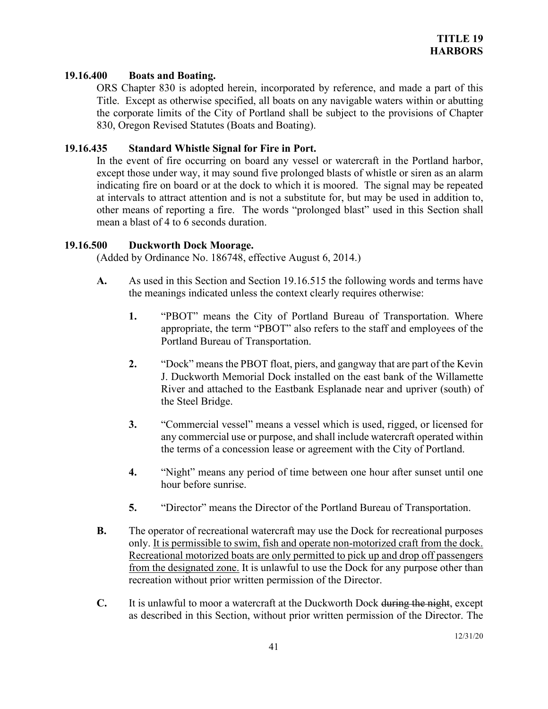#### **19.16.400 Boats and Boating.**

ORS Chapter 830 is adopted herein, incorporated by reference, and made a part of this Title. Except as otherwise specified, all boats on any navigable waters within or abutting the corporate limits of the City of Portland shall be subject to the provisions of Chapter 830, Oregon Revised Statutes (Boats and Boating).

## **19.16.435 Standard Whistle Signal for Fire in Port.**

In the event of fire occurring on board any vessel or watercraft in the Portland harbor, except those under way, it may sound five prolonged blasts of whistle or siren as an alarm indicating fire on board or at the dock to which it is moored. The signal may be repeated at intervals to attract attention and is not a substitute for, but may be used in addition to, other means of reporting a fire. The words "prolonged blast" used in this Section shall mean a blast of 4 to 6 seconds duration.

#### **19.16.500 Duckworth Dock Moorage.**

(Added by Ordinance No. 186748, effective August 6, 2014.)

- **A.** As used in this Section and Section 19.16.515 the following words and terms have the meanings indicated unless the context clearly requires otherwise:
	- **1.** "PBOT" means the City of Portland Bureau of Transportation. Where appropriate, the term "PBOT" also refers to the staff and employees of the Portland Bureau of Transportation.
	- **2.** "Dock" means the PBOT float, piers, and gangway that are part of the Kevin J. Duckworth Memorial Dock installed on the east bank of the Willamette River and attached to the Eastbank Esplanade near and upriver (south) of the Steel Bridge.
	- **3.** "Commercial vessel" means a vessel which is used, rigged, or licensed for any commercial use or purpose, and shall include watercraft operated within the terms of a concession lease or agreement with the City of Portland.
	- **4.** "Night" means any period of time between one hour after sunset until one hour before sunrise.
	- **5.** "Director" means the Director of the Portland Bureau of Transportation.
- **B.** The operator of recreational watercraft may use the Dock for recreational purposes only. It is permissible to swim, fish and operate non-motorized craft from the dock. Recreational motorized boats are only permitted to pick up and drop off passengers from the designated zone. It is unlawful to use the Dock for any purpose other than recreation without prior written permission of the Director.
- **C.** It is unlawful to moor a watercraft at the Duckworth Dock during the night, except as described in this Section, without prior written permission of the Director. The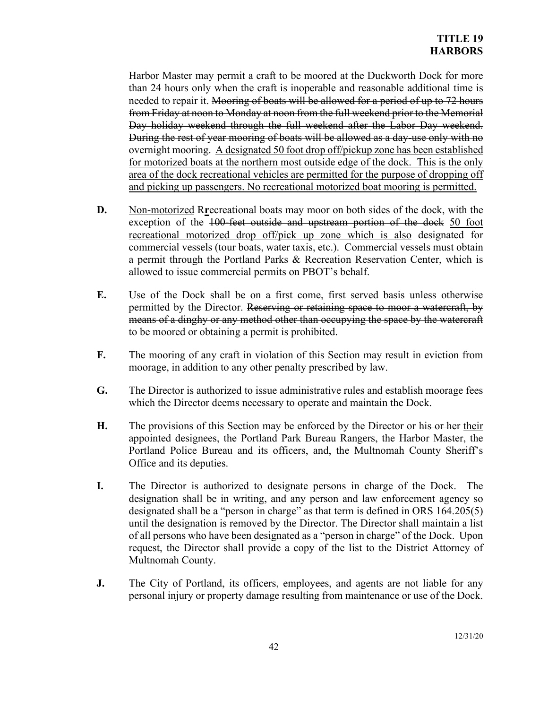Harbor Master may permit a craft to be moored at the Duckworth Dock for more than 24 hours only when the craft is inoperable and reasonable additional time is needed to repair it. Mooring of boats will be allowed for a period of up to 72 hours from Friday at noon to Monday at noon from the full weekend prior to the Memorial Day holiday weekend through the full weekend after the Labor Day weekend. During the rest of year mooring of boats will be allowed as a day-use only with no overnight mooring. A designated 50 foot drop off/pickup zone has been established for motorized boats at the northern most outside edge of the dock. This is the only area of the dock recreational vehicles are permitted for the purpose of dropping off and picking up passengers. No recreational motorized boat mooring is permitted.

- **D.** Non-motorized R**r**ecreational boats may moor on both sides of the dock, with the exception of the 100-feet outside and upstream portion of the dock 50 foot recreational motorized drop off/pick up zone which is also designated for commercial vessels (tour boats, water taxis, etc.). Commercial vessels must obtain a permit through the Portland Parks & Recreation Reservation Center, which is allowed to issue commercial permits on PBOT's behalf.
- **E.** Use of the Dock shall be on a first come, first served basis unless otherwise permitted by the Director. Reserving or retaining space to moor a watercraft, by means of a dinghy or any method other than occupying the space by the watercraft to be moored or obtaining a permit is prohibited.
- **F.** The mooring of any craft in violation of this Section may result in eviction from moorage, in addition to any other penalty prescribed by law.
- **G.** The Director is authorized to issue administrative rules and establish moorage fees which the Director deems necessary to operate and maintain the Dock.
- **H.** The provisions of this Section may be enforced by the Director or his or her their appointed designees, the Portland Park Bureau Rangers, the Harbor Master, the Portland Police Bureau and its officers, and, the Multnomah County Sheriff's Office and its deputies.
- **I.** The Director is authorized to designate persons in charge of the Dock. The designation shall be in writing, and any person and law enforcement agency so designated shall be a "person in charge" as that term is defined in ORS 164.205(5) until the designation is removed by the Director. The Director shall maintain a list of all persons who have been designated as a "person in charge" of the Dock. Upon request, the Director shall provide a copy of the list to the District Attorney of Multnomah County.
- **J.** The City of Portland, its officers, employees, and agents are not liable for any personal injury or property damage resulting from maintenance or use of the Dock.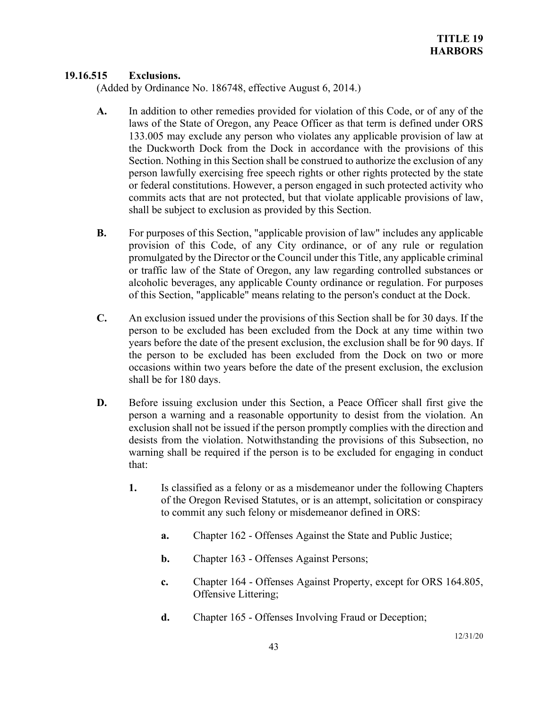## **19.16.515 Exclusions.**

(Added by Ordinance No. 186748, effective August 6, 2014.)

- **A.** In addition to other remedies provided for violation of this Code, or of any of the laws of the State of Oregon, any Peace Officer as that term is defined under ORS 133.005 may exclude any person who violates any applicable provision of law at the Duckworth Dock from the Dock in accordance with the provisions of this Section. Nothing in this Section shall be construed to authorize the exclusion of any person lawfully exercising free speech rights or other rights protected by the state or federal constitutions. However, a person engaged in such protected activity who commits acts that are not protected, but that violate applicable provisions of law, shall be subject to exclusion as provided by this Section.
- **B.** For purposes of this Section, "applicable provision of law" includes any applicable provision of this Code, of any City ordinance, or of any rule or regulation promulgated by the Director or the Council under this Title, any applicable criminal or traffic law of the State of Oregon, any law regarding controlled substances or alcoholic beverages, any applicable County ordinance or regulation. For purposes of this Section, "applicable" means relating to the person's conduct at the Dock.
- **C.** An exclusion issued under the provisions of this Section shall be for 30 days. If the person to be excluded has been excluded from the Dock at any time within two years before the date of the present exclusion, the exclusion shall be for 90 days. If the person to be excluded has been excluded from the Dock on two or more occasions within two years before the date of the present exclusion, the exclusion shall be for 180 days.
- **D.** Before issuing exclusion under this Section, a Peace Officer shall first give the person a warning and a reasonable opportunity to desist from the violation. An exclusion shall not be issued if the person promptly complies with the direction and desists from the violation. Notwithstanding the provisions of this Subsection, no warning shall be required if the person is to be excluded for engaging in conduct that:
	- **1.** Is classified as a felony or as a misdemeanor under the following Chapters of the Oregon Revised Statutes, or is an attempt, solicitation or conspiracy to commit any such felony or misdemeanor defined in ORS:
		- **a.** Chapter 162 Offenses Against the State and Public Justice;
		- **b.** Chapter 163 Offenses Against Persons;
		- **c.** Chapter 164 Offenses Against Property, except for ORS 164.805, Offensive Littering;
		- **d.** Chapter 165 Offenses Involving Fraud or Deception;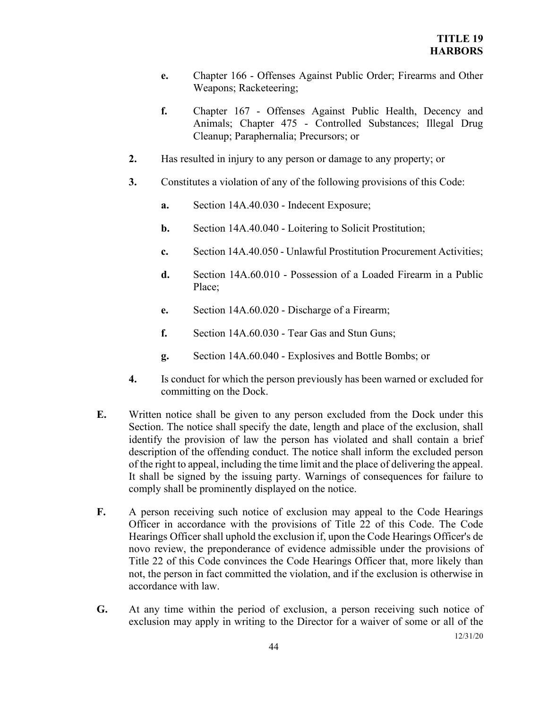- **e.** Chapter 166 Offenses Against Public Order; Firearms and Other Weapons; Racketeering;
- **f.** Chapter 167 Offenses Against Public Health, Decency and Animals; Chapter 475 - Controlled Substances; Illegal Drug Cleanup; Paraphernalia; Precursors; or
- **2.** Has resulted in injury to any person or damage to any property; or
- **3.** Constitutes a violation of any of the following provisions of this Code:
	- **a.** Section 14A.40.030 Indecent Exposure;
	- **b.** Section 14A.40.040 Loitering to Solicit Prostitution;
	- **c.** Section 14A.40.050 Unlawful Prostitution Procurement Activities;
	- **d.** Section 14A.60.010 Possession of a Loaded Firearm in a Public Place;
	- **e.** Section 14A.60.020 Discharge of a Firearm;
	- **f.** Section 14A.60.030 Tear Gas and Stun Guns;
	- **g.** Section 14A.60.040 Explosives and Bottle Bombs; or
- **4.** Is conduct for which the person previously has been warned or excluded for committing on the Dock.
- **E.** Written notice shall be given to any person excluded from the Dock under this Section. The notice shall specify the date, length and place of the exclusion, shall identify the provision of law the person has violated and shall contain a brief description of the offending conduct. The notice shall inform the excluded person of the right to appeal, including the time limit and the place of delivering the appeal. It shall be signed by the issuing party. Warnings of consequences for failure to comply shall be prominently displayed on the notice.
- **F.** A person receiving such notice of exclusion may appeal to the Code Hearings Officer in accordance with the provisions of Title 22 of this Code. The Code Hearings Officer shall uphold the exclusion if, upon the Code Hearings Officer's de novo review, the preponderance of evidence admissible under the provisions of Title 22 of this Code convinces the Code Hearings Officer that, more likely than not, the person in fact committed the violation, and if the exclusion is otherwise in accordance with law.
- **G.** At any time within the period of exclusion, a person receiving such notice of exclusion may apply in writing to the Director for a waiver of some or all of the

12/31/20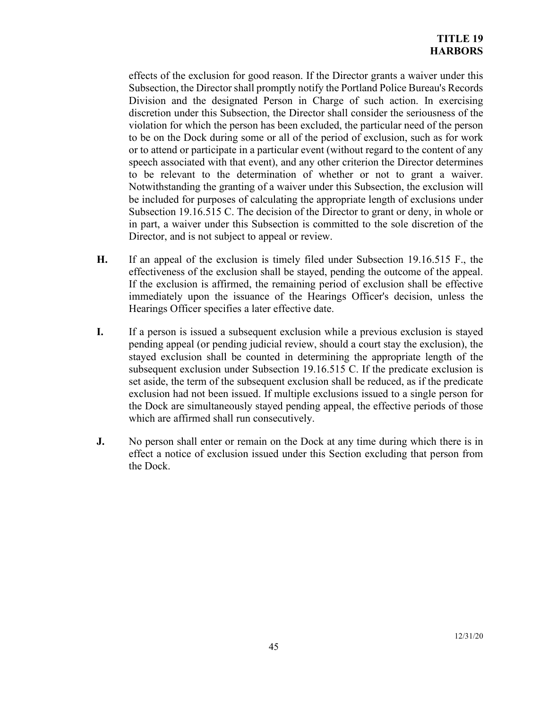effects of the exclusion for good reason. If the Director grants a waiver under this Subsection, the Director shall promptly notify the Portland Police Bureau's Records Division and the designated Person in Charge of such action. In exercising discretion under this Subsection, the Director shall consider the seriousness of the violation for which the person has been excluded, the particular need of the person to be on the Dock during some or all of the period of exclusion, such as for work or to attend or participate in a particular event (without regard to the content of any speech associated with that event), and any other criterion the Director determines to be relevant to the determination of whether or not to grant a waiver. Notwithstanding the granting of a waiver under this Subsection, the exclusion will be included for purposes of calculating the appropriate length of exclusions under Subsection 19.16.515 C. The decision of the Director to grant or deny, in whole or in part, a waiver under this Subsection is committed to the sole discretion of the Director, and is not subject to appeal or review.

- **H.** If an appeal of the exclusion is timely filed under Subsection 19.16.515 F., the effectiveness of the exclusion shall be stayed, pending the outcome of the appeal. If the exclusion is affirmed, the remaining period of exclusion shall be effective immediately upon the issuance of the Hearings Officer's decision, unless the Hearings Officer specifies a later effective date.
- **I.** If a person is issued a subsequent exclusion while a previous exclusion is stayed pending appeal (or pending judicial review, should a court stay the exclusion), the stayed exclusion shall be counted in determining the appropriate length of the subsequent exclusion under Subsection 19.16.515 C. If the predicate exclusion is set aside, the term of the subsequent exclusion shall be reduced, as if the predicate exclusion had not been issued. If multiple exclusions issued to a single person for the Dock are simultaneously stayed pending appeal, the effective periods of those which are affirmed shall run consecutively.
- **J.** No person shall enter or remain on the Dock at any time during which there is in effect a notice of exclusion issued under this Section excluding that person from the Dock.